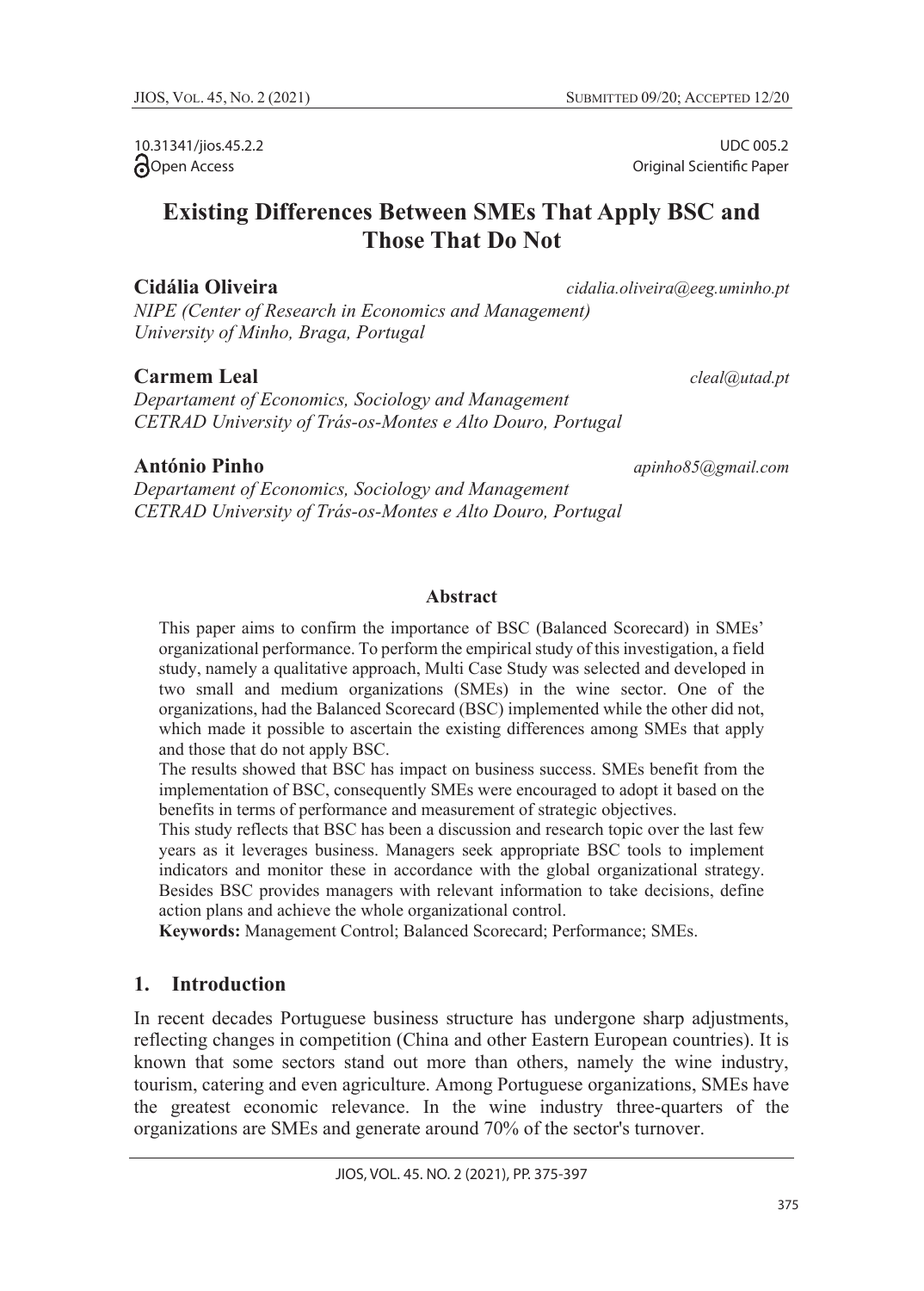10.31341/jios.45.2.2 **Open** Access

UDC 005.2 Original Scientific Paper

# **Existing Differences Between SMEs That Apply BSC and Those That Do Not**

**Cidália Oliveira** *cidalia.oliveira@eeg.uminho.pt*

*NIPE (Center of Research in Economics and Management) University of Minho, Braga, Portugal*

# **Carmem Leal** *cleal@utad.pt*

*Departament of Economics, Sociology and Management CETRAD University of Trás-os-Montes e Alto Douro, Portugal*

# **António Pinho** *apinho85@gmail.com*

*Departament of Economics, Sociology and Management CETRAD University of Trás-os-Montes e Alto Douro, Portugal*

## **Abstract**

This paper aims to confirm the importance of BSC (Balanced Scorecard) in SMEs' organizational performance. To perform the empirical study of this investigation, a field study, namely a qualitative approach, Multi Case Study was selected and developed in two small and medium organizations (SMEs) in the wine sector. One of the organizations, had the Balanced Scorecard (BSC) implemented while the other did not, which made it possible to ascertain the existing differences among SMEs that apply and those that do not apply BSC.

The results showed that BSC has impact on business success. SMEs benefit from the implementation of BSC, consequently SMEs were encouraged to adopt it based on the benefits in terms of performance and measurement of strategic objectives.

This study reflects that BSC has been a discussion and research topic over the last few years as it leverages business. Managers seek appropriate BSC tools to implement indicators and monitor these in accordance with the global organizational strategy. Besides BSC provides managers with relevant information to take decisions, define action plans and achieve the whole organizational control.

**Keywords:** Management Control; Balanced Scorecard; Performance; SMEs.

# **1. Introduction**

In recent decades Portuguese business structure has undergone sharp adjustments, reflecting changes in competition (China and other Eastern European countries). It is known that some sectors stand out more than others, namely the wine industry, tourism, catering and even agriculture. Among Portuguese organizations, SMEs have the greatest economic relevance. In the wine industry three-quarters of the organizations are SMEs and generate around 70% of the sector's turnover.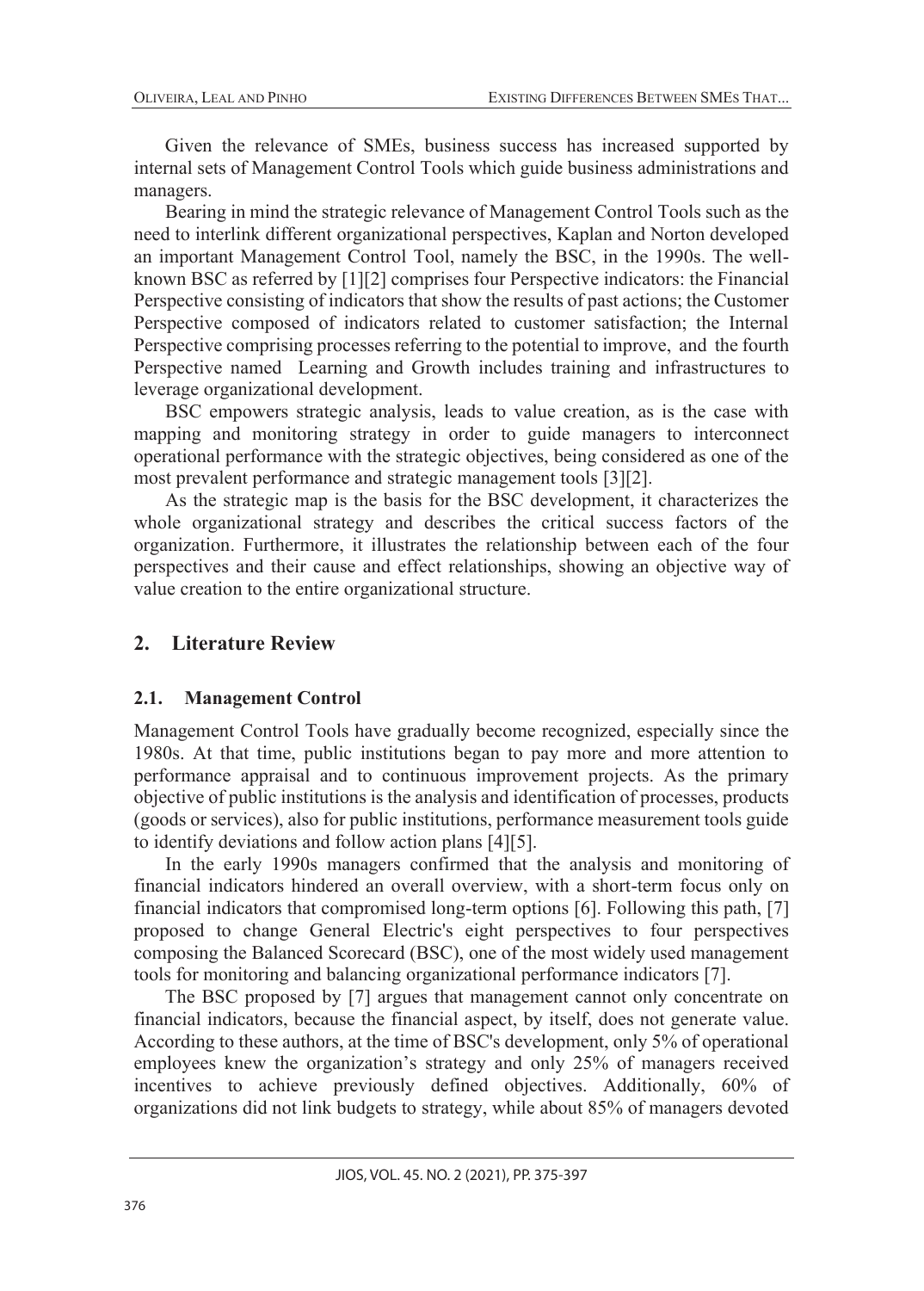Given the relevance of SMEs, business success has increased supported by internal sets of Management Control Tools which guide business administrations and managers.

Bearing in mind the strategic relevance of Management Control Tools such as the need to interlink different organizational perspectives, Kaplan and Norton developed an important Management Control Tool, namely the BSC, in the 1990s. The wellknown BSC as referred by [1][2] comprises four Perspective indicators: the Financial Perspective consisting of indicators that show the results of past actions; the Customer Perspective composed of indicators related to customer satisfaction; the Internal Perspective comprising processes referring to the potential to improve, and the fourth Perspective named Learning and Growth includes training and infrastructures to leverage organizational development.

BSC empowers strategic analysis, leads to value creation, as is the case with mapping and monitoring strategy in order to guide managers to interconnect operational performance with the strategic objectives, being considered as one of the most prevalent performance and strategic management tools [3][2].

As the strategic map is the basis for the BSC development, it characterizes the whole organizational strategy and describes the critical success factors of the organization. Furthermore, it illustrates the relationship between each of the four perspectives and their cause and effect relationships, showing an objective way of value creation to the entire organizational structure.

## **2. Literature Review**

## **2.1. Management Control**

Management Control Tools have gradually become recognized, especially since the 1980s. At that time, public institutions began to pay more and more attention to performance appraisal and to continuous improvement projects. As the primary objective of public institutions is the analysis and identification of processes, products (goods or services), also for public institutions, performance measurement tools guide to identify deviations and follow action plans [4][5].

In the early 1990s managers confirmed that the analysis and monitoring of financial indicators hindered an overall overview, with a short-term focus only on financial indicators that compromised long-term options [6]. Following this path, [7] proposed to change General Electric's eight perspectives to four perspectives composing the Balanced Scorecard (BSC), one of the most widely used management tools for monitoring and balancing organizational performance indicators [7].

The BSC proposed by [7] argues that management cannot only concentrate on financial indicators, because the financial aspect, by itself, does not generate value. According to these authors, at the time of BSC's development, only 5% of operational employees knew the organization's strategy and only 25% of managers received incentives to achieve previously defined objectives. Additionally, 60% of organizations did not link budgets to strategy, while about 85% of managers devoted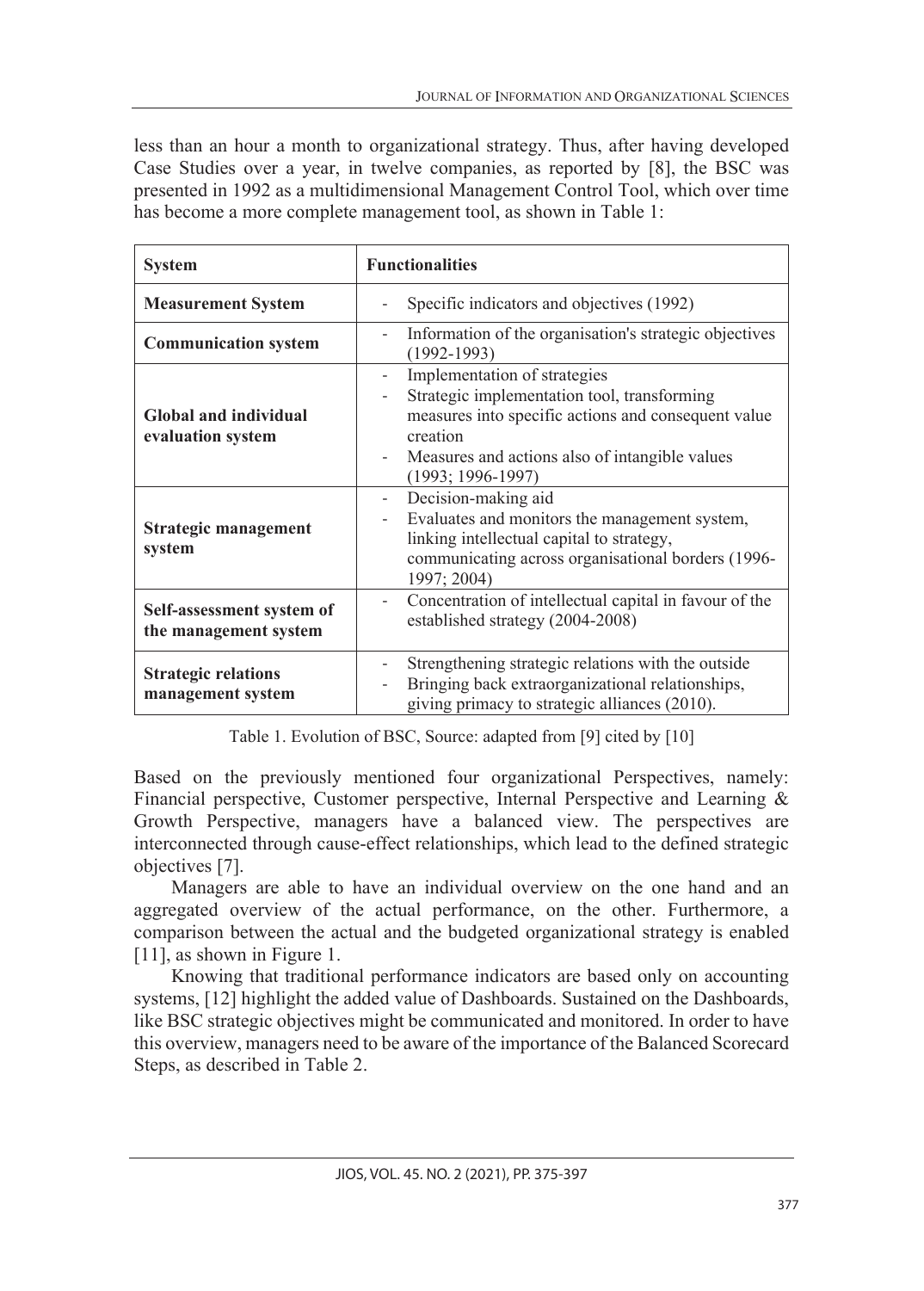less than an hour a month to organizational strategy. Thus, after having developed Case Studies over a year, in twelve companies, as reported by [8], the BSC was presented in 1992 as a multidimensional Management Control Tool, which over time has become a more complete management tool, as shown in Table 1:

| <b>System</b>                                      | <b>Functionalities</b>                                                                                                                                                                                                  |  |  |  |
|----------------------------------------------------|-------------------------------------------------------------------------------------------------------------------------------------------------------------------------------------------------------------------------|--|--|--|
| <b>Measurement System</b>                          | Specific indicators and objectives (1992)                                                                                                                                                                               |  |  |  |
| <b>Communication system</b>                        | Information of the organisation's strategic objectives<br>$\overline{\phantom{0}}$<br>$(1992 - 1993)$                                                                                                                   |  |  |  |
| <b>Global and individual</b><br>evaluation system  | Implementation of strategies<br>Strategic implementation tool, transforming<br>measures into specific actions and consequent value<br>creation<br>Measures and actions also of intangible values<br>$(1993; 1996-1997)$ |  |  |  |
| Strategic management<br>system                     | Decision-making aid<br>$ \,$<br>Evaluates and monitors the management system,<br>linking intellectual capital to strategy,<br>communicating across organisational borders (1996-<br>1997; 2004)                         |  |  |  |
| Self-assessment system of<br>the management system | Concentration of intellectual capital in favour of the<br>$\overline{\phantom{0}}$<br>established strategy (2004-2008)                                                                                                  |  |  |  |
| <b>Strategic relations</b><br>management system    | Strengthening strategic relations with the outside<br>Bringing back extraorganizational relationships,<br>giving primacy to strategic alliances (2010).                                                                 |  |  |  |

Table 1. Evolution of BSC, Source: adapted from [9] cited by [10]

Based on the previously mentioned four organizational Perspectives, namely: Financial perspective, Customer perspective, Internal Perspective and Learning & Growth Perspective, managers have a balanced view. The perspectives are interconnected through cause-effect relationships, which lead to the defined strategic objectives [7].

Managers are able to have an individual overview on the one hand and an aggregated overview of the actual performance, on the other. Furthermore, a comparison between the actual and the budgeted organizational strategy is enabled [11], as shown in Figure 1.

Knowing that traditional performance indicators are based only on accounting systems, [12] highlight the added value of Dashboards. Sustained on the Dashboards, like BSC strategic objectives might be communicated and monitored. In order to have this overview, managers need to be aware of the importance of the Balanced Scorecard Steps, as described in Table 2.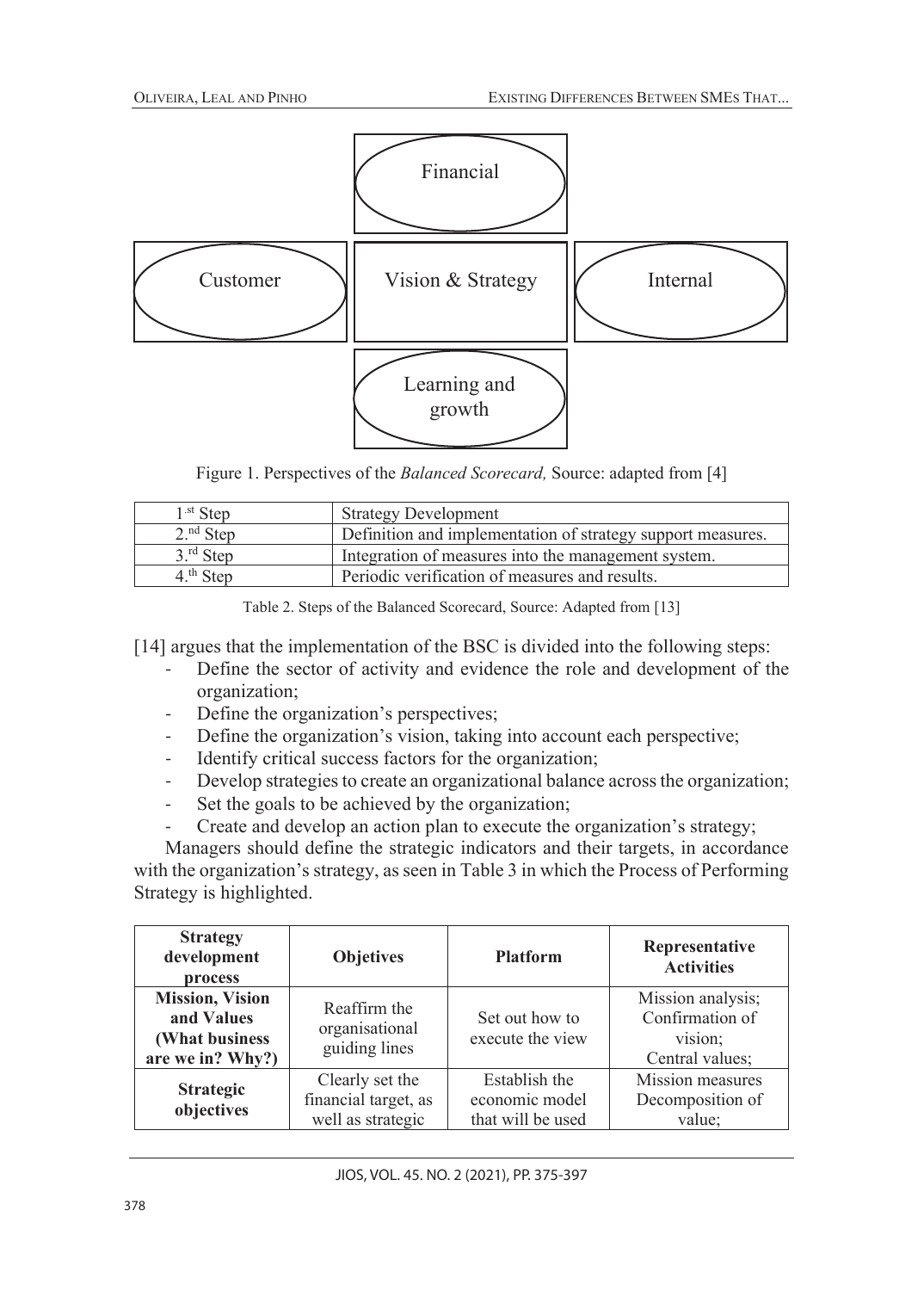

Figure 1. Perspectives of the *Balanced Scorecard,* Source: adapted from [4]

| $1st$ Step            | <b>Strategy Development</b>                                 |
|-----------------------|-------------------------------------------------------------|
| $2.^{nd}$ Step        | Definition and implementation of strategy support measures. |
| $3.^{\text{rd}}$ Step | Integration of measures into the management system.         |
| $4th$ Step            | Periodic verification of measures and results.              |

Table 2. Steps of the Balanced Scorecard, Source: Adapted from [13]

[14] argues that the implementation of the BSC is divided into the following steps:

- Define the sector of activity and evidence the role and development of the organization;
- Define the organization's perspectives;
- Define the organization's vision, taking into account each perspective;
- Identify critical success factors for the organization;
- Develop strategies to create an organizational balance across the organization;
- Set the goals to be achieved by the organization;
- Create and develop an action plan to execute the organization's strategy;

Managers should define the strategic indicators and their targets, in accordance with the organization's strategy, as seen in Table 3 in which the Process of Performing Strategy is highlighted.

| <b>Strategy</b><br>development<br>process                                   | <b>Objetives</b>                                             | <b>Platform</b>                                      | Representative<br><b>Activities</b>                                |
|-----------------------------------------------------------------------------|--------------------------------------------------------------|------------------------------------------------------|--------------------------------------------------------------------|
| <b>Mission</b> , Vision<br>and Values<br>(What business<br>are we in? Why?) | Reaffirm the<br>organisational<br>guiding lines              | Set out how to<br>execute the view                   | Mission analysis;<br>Confirmation of<br>vision;<br>Central values; |
| <b>Strategic</b><br>objectives                                              | Clearly set the<br>financial target, as<br>well as strategic | Establish the<br>economic model<br>that will be used | Mission measures<br>Decomposition of<br>value;                     |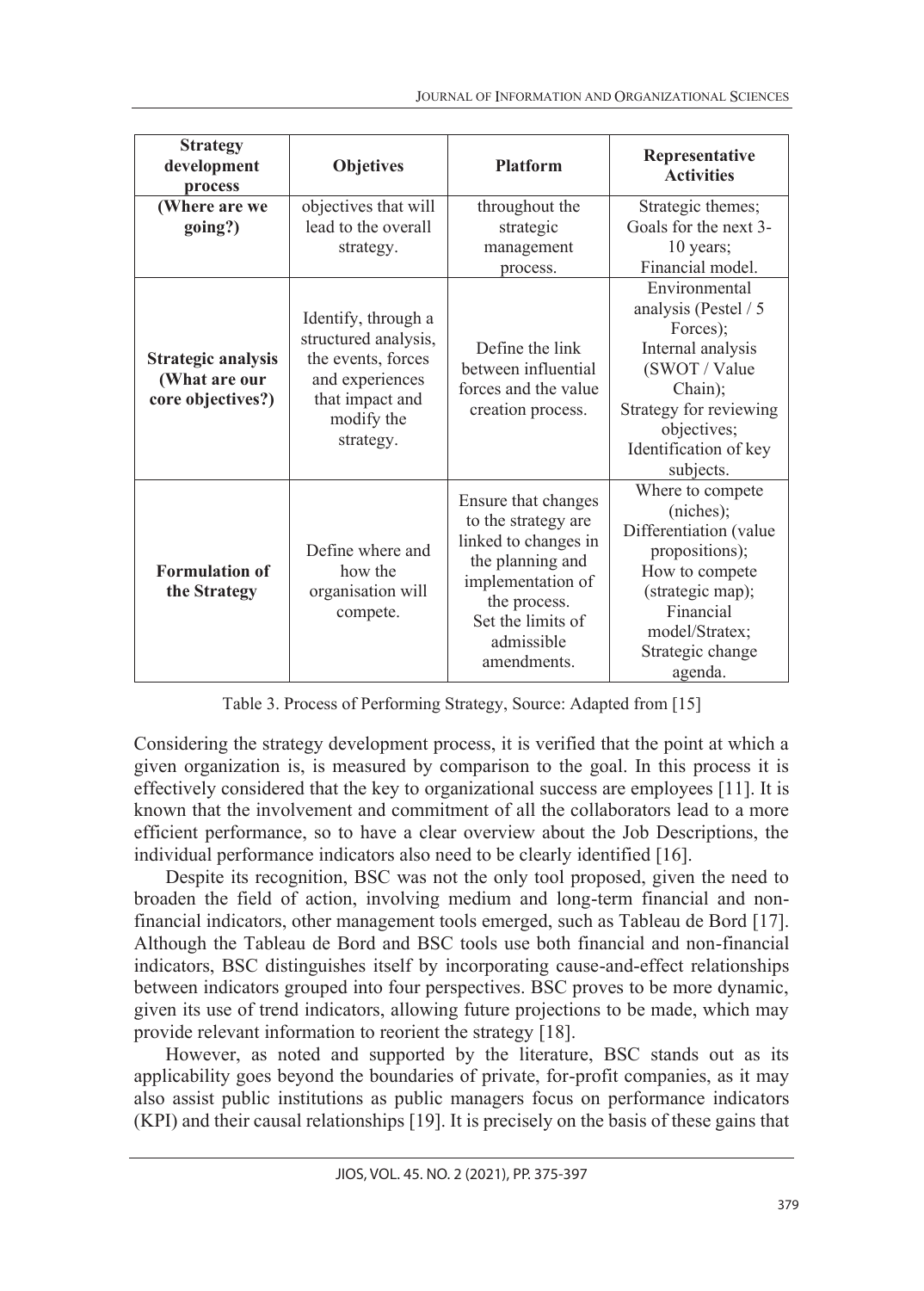| <b>Strategy</b><br>development<br>process                       | <b>Objetives</b>                                                                                                                   | <b>Platform</b>                                                                                                                                                               | Representative<br><b>Activities</b>                                                                                                                                               |
|-----------------------------------------------------------------|------------------------------------------------------------------------------------------------------------------------------------|-------------------------------------------------------------------------------------------------------------------------------------------------------------------------------|-----------------------------------------------------------------------------------------------------------------------------------------------------------------------------------|
| (Where are we<br>going?)                                        | objectives that will<br>lead to the overall<br>strategy.                                                                           | throughout the<br>strategic<br>management<br>process.                                                                                                                         | Strategic themes;<br>Goals for the next 3-<br>10 years;<br>Financial model.                                                                                                       |
| <b>Strategic analysis</b><br>(What are our<br>core objectives?) | Identify, through a<br>structured analysis,<br>the events, forces<br>and experiences<br>that impact and<br>modify the<br>strategy. | Define the link<br>between influential<br>forces and the value<br>creation process.                                                                                           | Environmental<br>analysis (Pestel / 5<br>Forces);<br>Internal analysis<br>(SWOT / Value<br>Chain);<br>Strategy for reviewing<br>objectives;<br>Identification of key<br>subjects. |
| <b>Formulation of</b><br>the Strategy                           | Define where and<br>how the<br>organisation will<br>compete.                                                                       | Ensure that changes<br>to the strategy are<br>linked to changes in<br>the planning and<br>implementation of<br>the process.<br>Set the limits of<br>admissible<br>amendments. | Where to compete<br>(niches);<br>Differentiation (value<br>propositions);<br>How to compete<br>(strategic map);<br>Financial<br>model/Stratex;<br>Strategic change<br>agenda.     |

Table 3. Process of Performing Strategy, Source: Adapted from [15]

Considering the strategy development process, it is verified that the point at which a given organization is, is measured by comparison to the goal. In this process it is effectively considered that the key to organizational success are employees [11]. It is known that the involvement and commitment of all the collaborators lead to a more efficient performance, so to have a clear overview about the Job Descriptions, the individual performance indicators also need to be clearly identified [16].

Despite its recognition, BSC was not the only tool proposed, given the need to broaden the field of action, involving medium and long-term financial and nonfinancial indicators, other management tools emerged, such as Tableau de Bord [17]. Although the Tableau de Bord and BSC tools use both financial and non-financial indicators, BSC distinguishes itself by incorporating cause-and-effect relationships between indicators grouped into four perspectives. BSC proves to be more dynamic, given its use of trend indicators, allowing future projections to be made, which may provide relevant information to reorient the strategy [18].

However, as noted and supported by the literature, BSC stands out as its applicability goes beyond the boundaries of private, for-profit companies, as it may also assist public institutions as public managers focus on performance indicators (KPI) and their causal relationships [19]. It is precisely on the basis of these gains that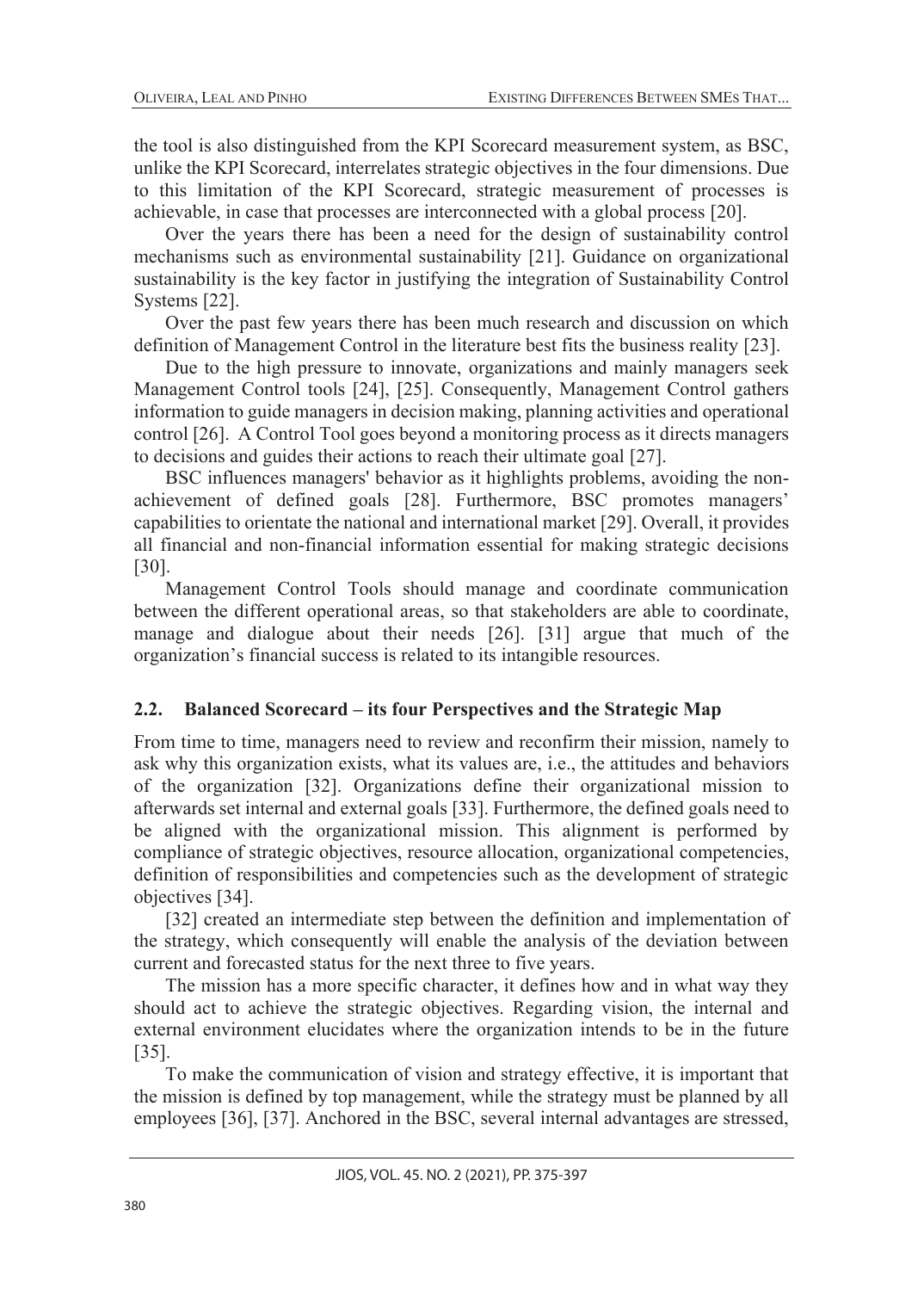the tool is also distinguished from the KPI Scorecard measurement system, as BSC, unlike the KPI Scorecard, interrelates strategic objectives in the four dimensions. Due to this limitation of the KPI Scorecard, strategic measurement of processes is achievable, in case that processes are interconnected with a global process [20].

Over the years there has been a need for the design of sustainability control mechanisms such as environmental sustainability [21]. Guidance on organizational sustainability is the key factor in justifying the integration of Sustainability Control Systems [22].

Over the past few years there has been much research and discussion on which definition of Management Control in the literature best fits the business reality [23].

Due to the high pressure to innovate, organizations and mainly managers seek Management Control tools [24], [25]. Consequently, Management Control gathers information to guide managers in decision making, planning activities and operational control [26]. A Control Tool goes beyond a monitoring process as it directs managers to decisions and guides their actions to reach their ultimate goal [27].

BSC influences managers' behavior as it highlights problems, avoiding the nonachievement of defined goals [28]. Furthermore, BSC promotes managers' capabilities to orientate the national and international market [29]. Overall, it provides all financial and non-financial information essential for making strategic decisions [30].

Management Control Tools should manage and coordinate communication between the different operational areas, so that stakeholders are able to coordinate, manage and dialogue about their needs [26]. [31] argue that much of the organization's financial success is related to its intangible resources.

## **2.2. Balanced Scorecard – its four Perspectives and the Strategic Map**

From time to time, managers need to review and reconfirm their mission, namely to ask why this organization exists, what its values are, i.e., the attitudes and behaviors of the organization [32]. Organizations define their organizational mission to afterwards set internal and external goals [33]. Furthermore, the defined goals need to be aligned with the organizational mission. This alignment is performed by compliance of strategic objectives, resource allocation, organizational competencies, definition of responsibilities and competencies such as the development of strategic objectives [34].

[32] created an intermediate step between the definition and implementation of the strategy, which consequently will enable the analysis of the deviation between current and forecasted status for the next three to five years.

The mission has a more specific character, it defines how and in what way they should act to achieve the strategic objectives. Regarding vision, the internal and external environment elucidates where the organization intends to be in the future [35].

To make the communication of vision and strategy effective, it is important that the mission is defined by top management, while the strategy must be planned by all employees [36], [37]. Anchored in the BSC, several internal advantages are stressed,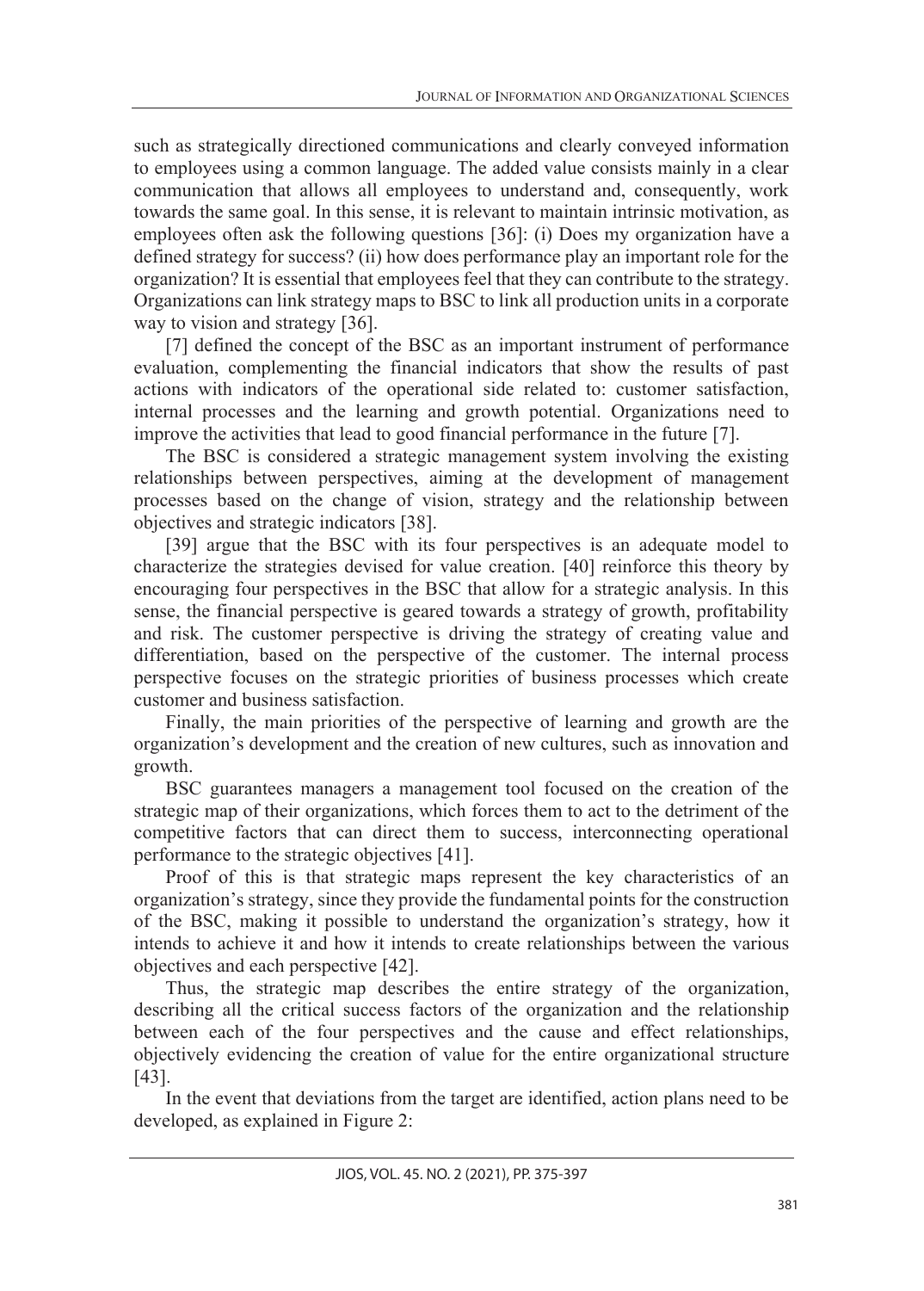such as strategically directioned communications and clearly conveyed information to employees using a common language. The added value consists mainly in a clear communication that allows all employees to understand and, consequently, work towards the same goal. In this sense, it is relevant to maintain intrinsic motivation, as employees often ask the following questions [36]: (i) Does my organization have a defined strategy for success? (ii) how does performance play an important role for the organization? It is essential that employees feel that they can contribute to the strategy. Organizations can link strategy maps to BSC to link all production units in a corporate way to vision and strategy [36].

[7] defined the concept of the BSC as an important instrument of performance evaluation, complementing the financial indicators that show the results of past actions with indicators of the operational side related to: customer satisfaction, internal processes and the learning and growth potential. Organizations need to improve the activities that lead to good financial performance in the future [7].

The BSC is considered a strategic management system involving the existing relationships between perspectives, aiming at the development of management processes based on the change of vision, strategy and the relationship between objectives and strategic indicators [38].

[39] argue that the BSC with its four perspectives is an adequate model to characterize the strategies devised for value creation. [40] reinforce this theory by encouraging four perspectives in the BSC that allow for a strategic analysis. In this sense, the financial perspective is geared towards a strategy of growth, profitability and risk. The customer perspective is driving the strategy of creating value and differentiation, based on the perspective of the customer. The internal process perspective focuses on the strategic priorities of business processes which create customer and business satisfaction.

Finally, the main priorities of the perspective of learning and growth are the organization's development and the creation of new cultures, such as innovation and growth.

BSC guarantees managers a management tool focused on the creation of the strategic map of their organizations, which forces them to act to the detriment of the competitive factors that can direct them to success, interconnecting operational performance to the strategic objectives [41].

Proof of this is that strategic maps represent the key characteristics of an organization's strategy, since they provide the fundamental points for the construction of the BSC, making it possible to understand the organization's strategy, how it intends to achieve it and how it intends to create relationships between the various objectives and each perspective [42].

Thus, the strategic map describes the entire strategy of the organization, describing all the critical success factors of the organization and the relationship between each of the four perspectives and the cause and effect relationships, objectively evidencing the creation of value for the entire organizational structure [43].

In the event that deviations from the target are identified, action plans need to be developed, as explained in Figure 2: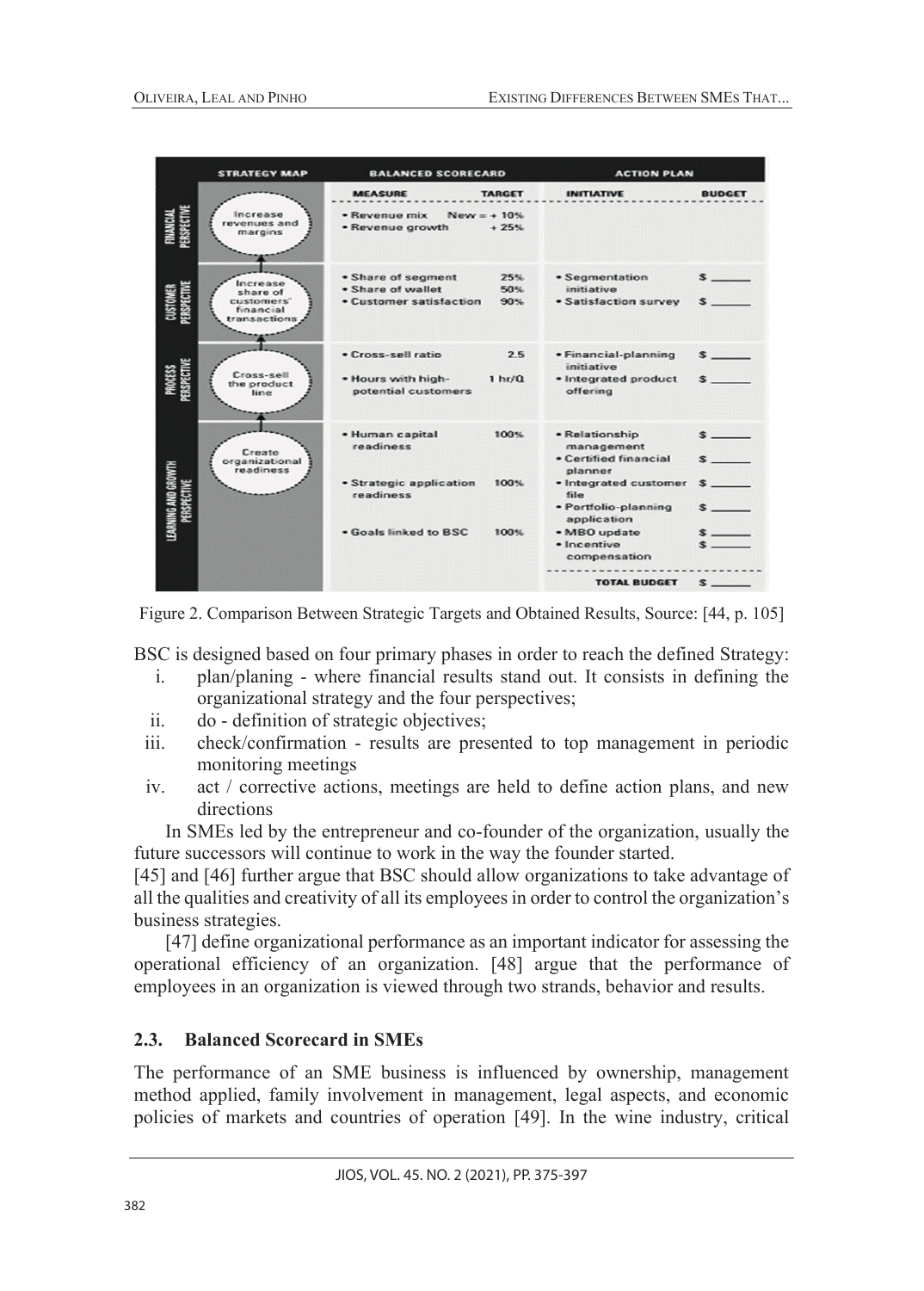|                                    | <b>STRATEGY MAP</b>                                             | <b>BALANCED SCORECARD</b>                                                                     |                           | <b>ACTION PLAN</b>                                                                                                                                                      |                                       |
|------------------------------------|-----------------------------------------------------------------|-----------------------------------------------------------------------------------------------|---------------------------|-------------------------------------------------------------------------------------------------------------------------------------------------------------------------|---------------------------------------|
|                                    |                                                                 | <b>MEASURE</b>                                                                                | <b>TARGET</b>             | <b>INITIATIVE</b>                                                                                                                                                       | <b>BUDGET</b>                         |
|                                    | Increase<br>revenues and<br>margins                             | · Revenue mix<br>· Revenue growth                                                             | $New = +10%$<br>$+25%$    |                                                                                                                                                                         |                                       |
|                                    | Increase<br>share of<br>customers'<br>financial<br>transactions | · Share of segment<br>. Share of wallet<br>• Customer satisfaction                            | 25%<br>50%<br>90%         | · Segmentation<br>initiative<br>· Satisfaction survey                                                                                                                   | $\sim$                                |
|                                    | Cross-sell<br>the product<br>line                               | · Cross-sell ratio<br>. Hours with high-<br>potential customers                               | 2.5<br>1 <sub>hr</sub> /0 | · Financial-planning<br>initiative<br>· Integrated product<br>offering                                                                                                  | $\sim$<br>$\sim$                      |
| LEARNING AND GROWTH<br>PERSPECTIVE | Create<br>organizational<br>readiness                           | · Human capital<br>readiness<br>• Strategic application<br>readiness<br>. Goals linked to BSC | 100%<br>100%<br>100%      | • Relationship<br>management<br>• Certified financial<br>planner<br>· Integrated customer<br>file<br>· Portfolio-planning<br>application<br>• MBO update<br>· Incentive | $\sim$<br>$\sim$<br>$\sim$<br>$s$ $-$ |
|                                    |                                                                 |                                                                                               |                           | compensation<br><b>TOTAL BUDGET</b>                                                                                                                                     | $s$ $\overline{\phantom{a}}$          |

Figure 2. Comparison Between Strategic Targets and Obtained Results, Source: [44, p. 105]

BSC is designed based on four primary phases in order to reach the defined Strategy:

- i. plan/planing where financial results stand out. It consists in defining the organizational strategy and the four perspectives;
- ii. do definition of strategic objectives;
- iii. check/confirmation results are presented to top management in periodic monitoring meetings
- iv. act / corrective actions, meetings are held to define action plans, and new directions

In SMEs led by the entrepreneur and co-founder of the organization, usually the future successors will continue to work in the way the founder started.

[45] and [46] further argue that BSC should allow organizations to take advantage of all the qualities and creativity of all its employees in order to control the organization's business strategies.

[47] define organizational performance as an important indicator for assessing the operational efficiency of an organization. [48] argue that the performance of employees in an organization is viewed through two strands, behavior and results.

## **2.3. Balanced Scorecard in SMEs**

The performance of an SME business is influenced by ownership, management method applied, family involvement in management, legal aspects, and economic policies of markets and countries of operation [49]. In the wine industry, critical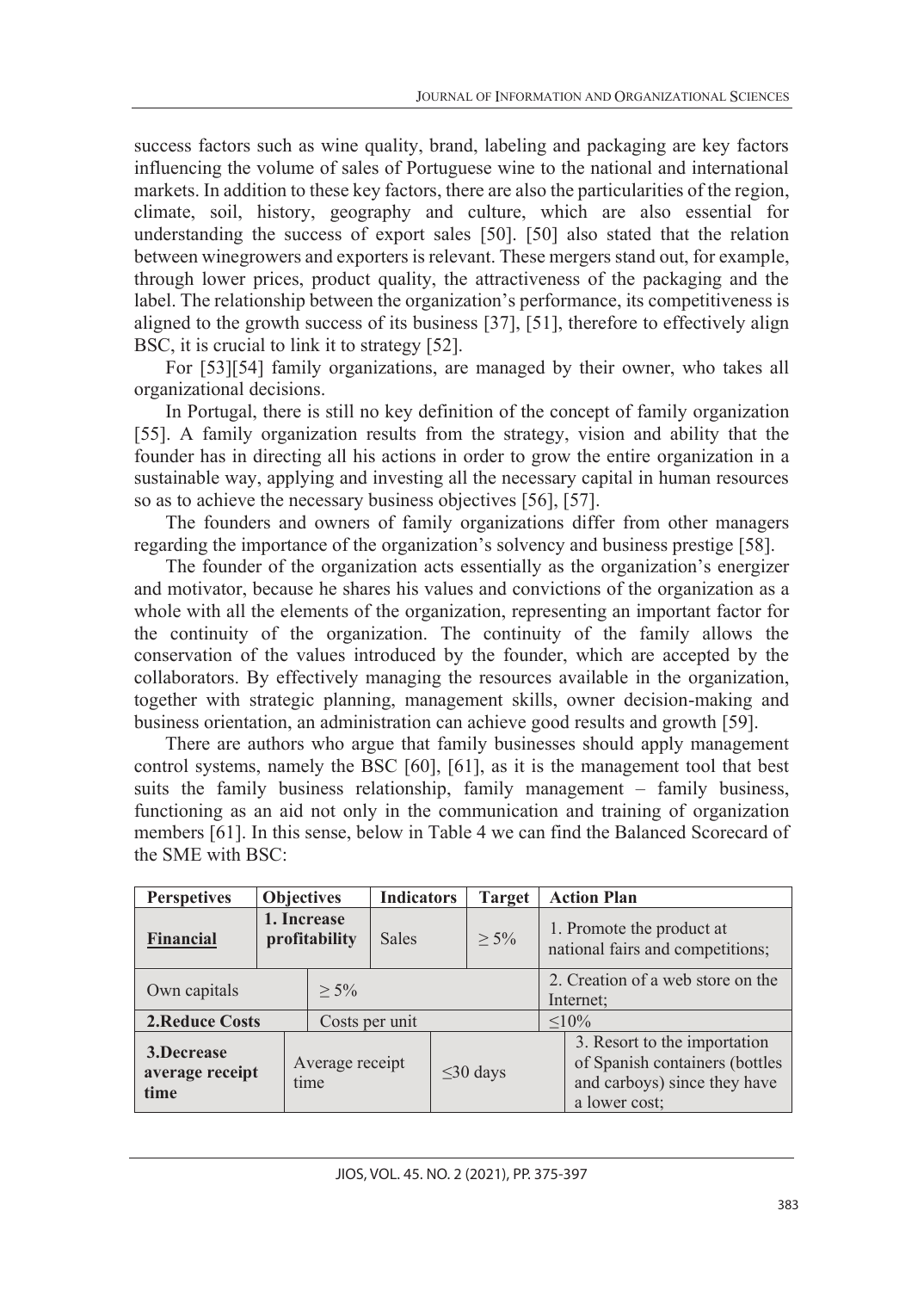success factors such as wine quality, brand, labeling and packaging are key factors influencing the volume of sales of Portuguese wine to the national and international markets. In addition to these key factors, there are also the particularities of the region, climate, soil, history, geography and culture, which are also essential for understanding the success of export sales [50]. [50] also stated that the relation between winegrowers and exporters is relevant. These mergers stand out, for example, through lower prices, product quality, the attractiveness of the packaging and the label. The relationship between the organization's performance, its competitiveness is aligned to the growth success of its business [37], [51], therefore to effectively align BSC, it is crucial to link it to strategy [52].

For [53][54] family organizations, are managed by their owner, who takes all organizational decisions.

In Portugal, there is still no key definition of the concept of family organization [55]. A family organization results from the strategy, vision and ability that the founder has in directing all his actions in order to grow the entire organization in a sustainable way, applying and investing all the necessary capital in human resources so as to achieve the necessary business objectives [56], [57].

The founders and owners of family organizations differ from other managers regarding the importance of the organization's solvency and business prestige [58].

The founder of the organization acts essentially as the organization's energizer and motivator, because he shares his values and convictions of the organization as a whole with all the elements of the organization, representing an important factor for the continuity of the organization. The continuity of the family allows the conservation of the values introduced by the founder, which are accepted by the collaborators. By effectively managing the resources available in the organization, together with strategic planning, management skills, owner decision-making and business orientation, an administration can achieve good results and growth [59].

There are authors who argue that family businesses should apply management control systems, namely the BSC [60], [61], as it is the management tool that best suits the family business relationship, family management – family business, functioning as an aid not only in the communication and training of organization members [61]. In this sense, below in Table 4 we can find the Balanced Scorecard of the SME with BSC:

| <b>Perspetives</b>                    |                              | <b>Objectives</b>       | <b>Indicators</b> | <b>Target</b>  |                                                               | <b>Action Plan</b>                                                                                              |
|---------------------------------------|------------------------------|-------------------------|-------------------|----------------|---------------------------------------------------------------|-----------------------------------------------------------------------------------------------------------------|
| <b>Financial</b>                      | 1. Increase<br>profitability |                         | <b>Sales</b>      | $> 5\%$        | 1. Promote the product at<br>national fairs and competitions; |                                                                                                                 |
| Own capitals                          |                              | $> 5\%$                 |                   |                |                                                               | 2. Creation of a web store on the<br>Internet;                                                                  |
| <b>2.Reduce Costs</b>                 |                              | Costs per unit          |                   |                |                                                               | $< 10\%$                                                                                                        |
| 3.Decrease<br>average receipt<br>time |                              | Average receipt<br>time |                   | $\leq$ 30 days |                                                               | 3. Resort to the importation<br>of Spanish containers (bottles<br>and carboys) since they have<br>a lower cost; |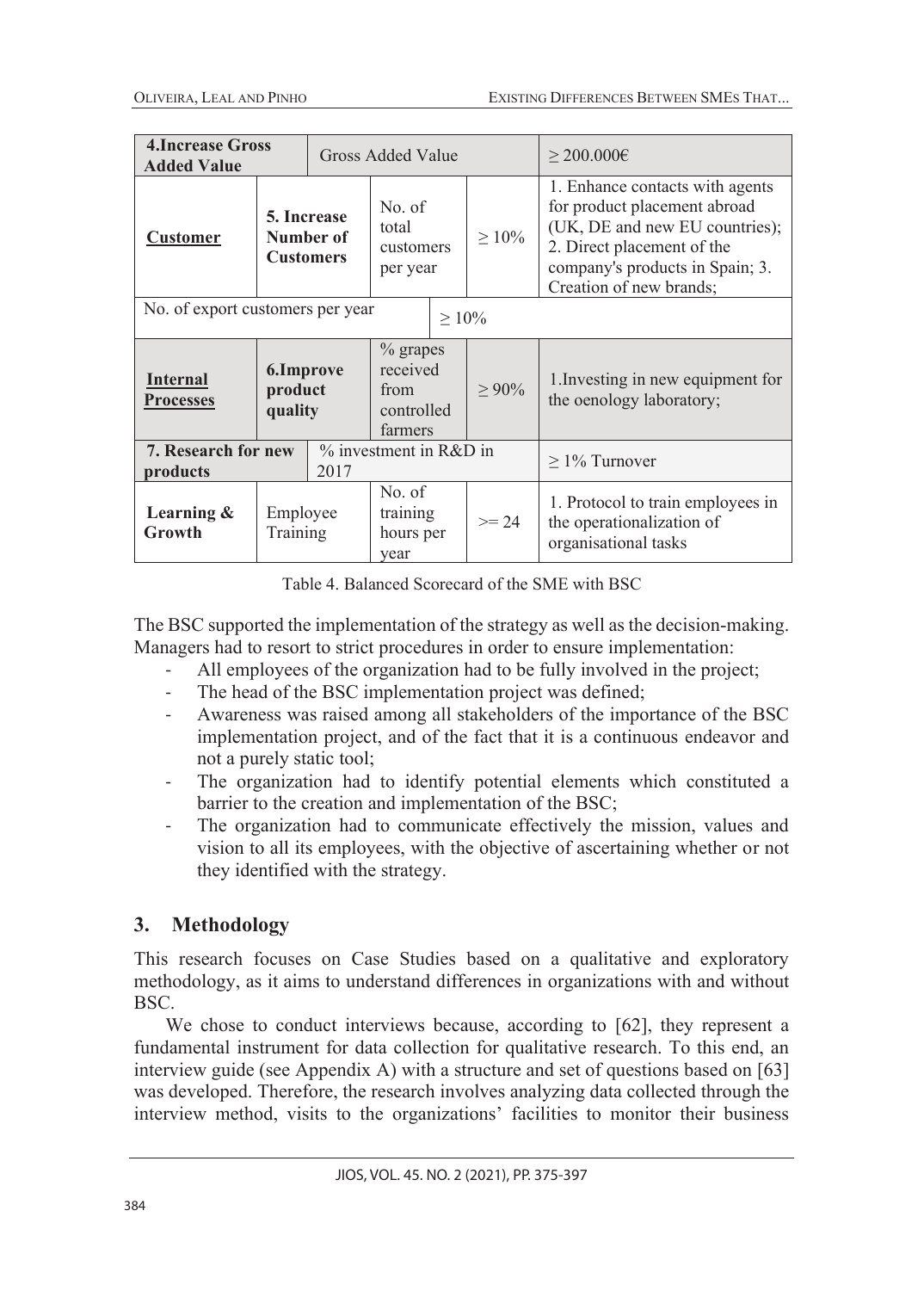| <b>4. Increase Gross</b><br><b>Added Value</b>                           | Gross Added Value                                     |  | $>$ 200.000€                                          |  |             |                                                                                                                                                                                               |
|--------------------------------------------------------------------------|-------------------------------------------------------|--|-------------------------------------------------------|--|-------------|-----------------------------------------------------------------------------------------------------------------------------------------------------------------------------------------------|
| <b>Customer</b>                                                          | 5. Increase<br>total<br>Number of<br><b>Customers</b> |  | No. of<br>customers<br>per year                       |  | $\geq 10\%$ | 1. Enhance contacts with agents<br>for product placement abroad<br>(UK, DE and new EU countries);<br>2. Direct placement of the<br>company's products in Spain; 3.<br>Creation of new brands; |
| No. of export customers per year                                         |                                                       |  | $\geq 10\%$                                           |  |             |                                                                                                                                                                                               |
| <b>Internal</b><br><b>Processes</b>                                      | 6.Improve<br>product<br>quality                       |  | % grapes<br>received<br>from<br>controlled<br>farmers |  | $> 90\%$    | 1. Investing in new equipment for<br>the oenology laboratory;                                                                                                                                 |
| % investment in R&D in<br><b>7. Research for new</b><br>2017<br>products |                                                       |  | $\geq$ 1% Turnover                                    |  |             |                                                                                                                                                                                               |
| Learning &<br>Growth                                                     | Employee<br>Training                                  |  | No. of<br>training<br>hours per<br>year               |  | $>= 24$     | 1. Protocol to train employees in<br>the operationalization of<br>organisational tasks                                                                                                        |

Table 4. Balanced Scorecard of the SME with BSC

The BSC supported the implementation of the strategy as well as the decision-making. Managers had to resort to strict procedures in order to ensure implementation:

- All employees of the organization had to be fully involved in the project;
- The head of the BSC implementation project was defined;
- Awareness was raised among all stakeholders of the importance of the BSC implementation project, and of the fact that it is a continuous endeavor and not a purely static tool;
- The organization had to identify potential elements which constituted a barrier to the creation and implementation of the BSC;
- The organization had to communicate effectively the mission, values and vision to all its employees, with the objective of ascertaining whether or not they identified with the strategy.

# **3. Methodology**

This research focuses on Case Studies based on a qualitative and exploratory methodology, as it aims to understand differences in organizations with and without BSC.

We chose to conduct interviews because, according to [62], they represent a fundamental instrument for data collection for qualitative research. To this end, an interview guide (see Appendix A) with a structure and set of questions based on [63] was developed. Therefore, the research involves analyzing data collected through the interview method, visits to the organizations' facilities to monitor their business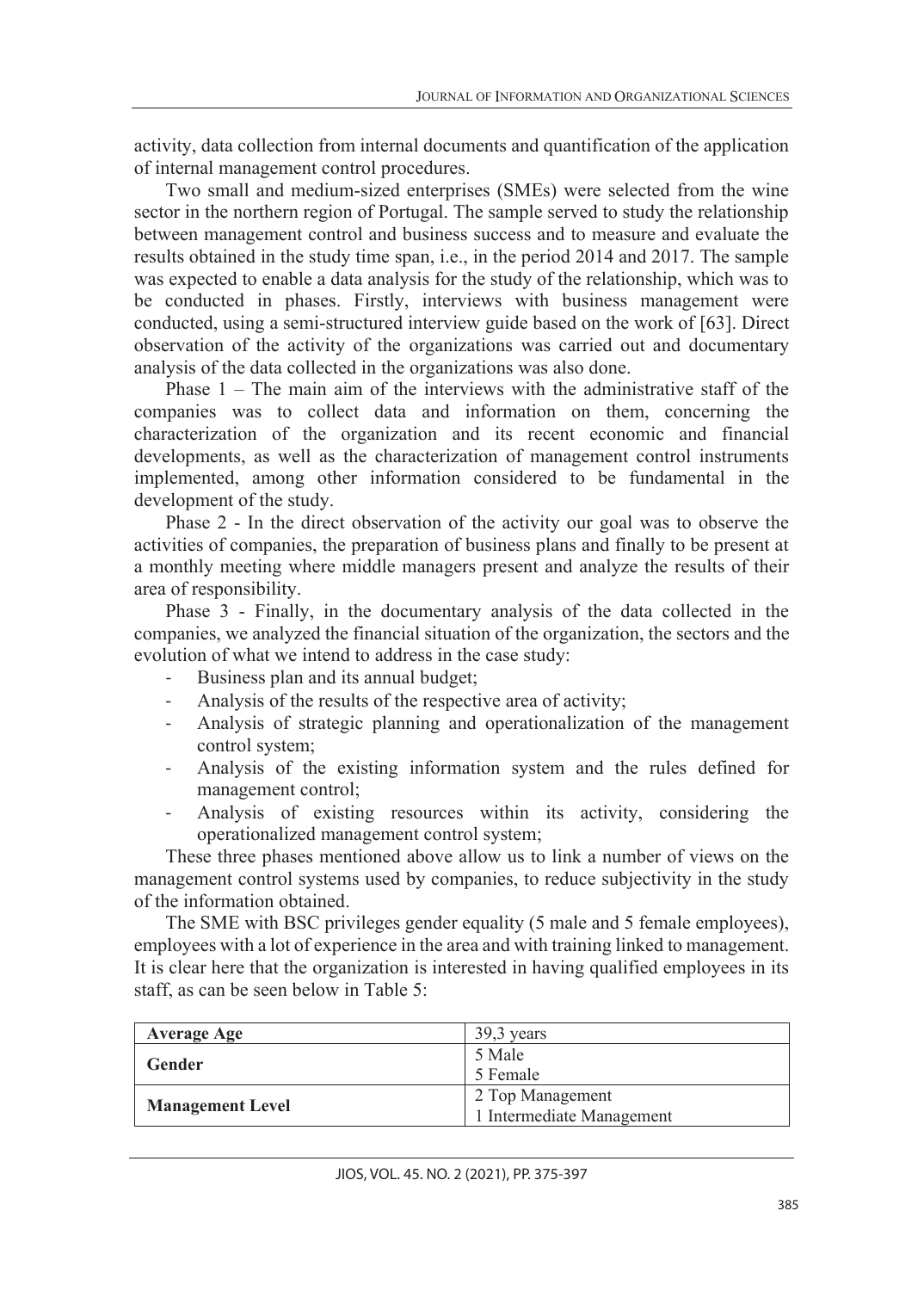activity, data collection from internal documents and quantification of the application of internal management control procedures.

Two small and medium-sized enterprises (SMEs) were selected from the wine sector in the northern region of Portugal. The sample served to study the relationship between management control and business success and to measure and evaluate the results obtained in the study time span, i.e., in the period 2014 and 2017. The sample was expected to enable a data analysis for the study of the relationship, which was to be conducted in phases. Firstly, interviews with business management were conducted, using a semi-structured interview guide based on the work of [63]. Direct observation of the activity of the organizations was carried out and documentary analysis of the data collected in the organizations was also done.

Phase  $1$  – The main aim of the interviews with the administrative staff of the companies was to collect data and information on them, concerning the characterization of the organization and its recent economic and financial developments, as well as the characterization of management control instruments implemented, among other information considered to be fundamental in the development of the study.

Phase 2 - In the direct observation of the activity our goal was to observe the activities of companies, the preparation of business plans and finally to be present at a monthly meeting where middle managers present and analyze the results of their area of responsibility.

Phase 3 - Finally, in the documentary analysis of the data collected in the companies, we analyzed the financial situation of the organization, the sectors and the evolution of what we intend to address in the case study:

- Business plan and its annual budget;
- Analysis of the results of the respective area of activity;
- Analysis of strategic planning and operationalization of the management control system;
- Analysis of the existing information system and the rules defined for management control;
- Analysis of existing resources within its activity, considering the operationalized management control system;

These three phases mentioned above allow us to link a number of views on the management control systems used by companies, to reduce subjectivity in the study of the information obtained.

The SME with BSC privileges gender equality (5 male and 5 female employees), employees with a lot of experience in the area and with training linked to management. It is clear here that the organization is interested in having qualified employees in its staff, as can be seen below in Table 5:

| <b>Average Age</b>      | $39.3$ years              |  |
|-------------------------|---------------------------|--|
| Gender                  | 5 Male                    |  |
|                         | 5 Female                  |  |
|                         | 2 Top Management          |  |
| <b>Management Level</b> | 1 Intermediate Management |  |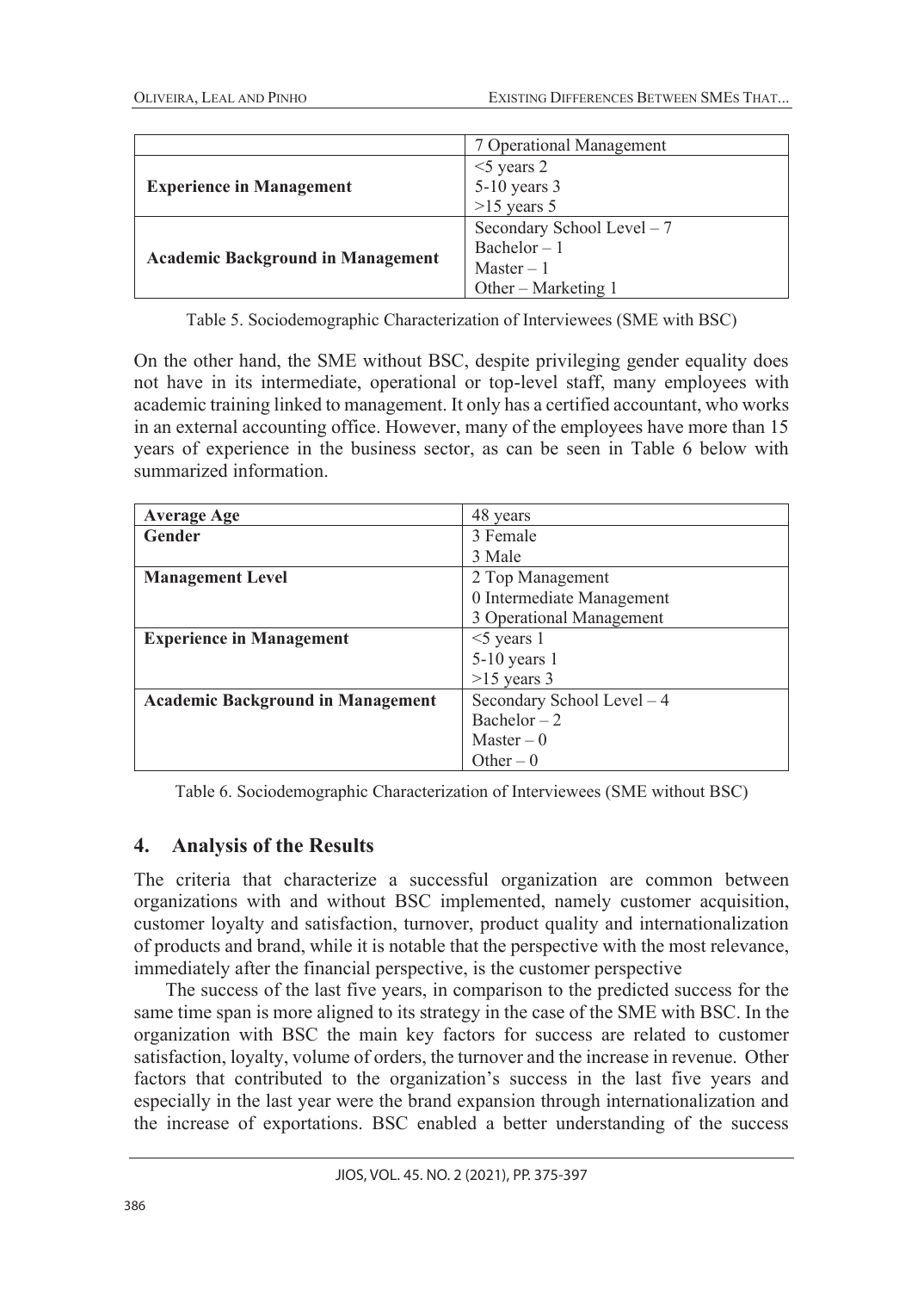|                                          | 7 Operational Management    |
|------------------------------------------|-----------------------------|
|                                          | $<$ 5 years 2               |
| <b>Experience in Management</b>          | 5-10 years 3                |
|                                          | $>15$ years 5               |
| <b>Academic Background in Management</b> | Secondary School Level $-7$ |
|                                          | $Bachelor - 1$              |
|                                          | $Master - 1$                |
|                                          | Other – Marketing $1$       |

Table 5. Sociodemographic Characterization of Interviewees (SME with BSC)

On the other hand, the SME without BSC, despite privileging gender equality does not have in its intermediate, operational or top-level staff, many employees with academic training linked to management. It only has a certified accountant, who works in an external accounting office. However, many of the employees have more than 15 years of experience in the business sector, as can be seen in Table 6 below with summarized information.

| <b>Average Age</b>                       | 48 years                   |
|------------------------------------------|----------------------------|
| Gender                                   | 3 Female                   |
|                                          | 3 Male                     |
| <b>Management Level</b>                  | 2 Top Management           |
|                                          | 0 Intermediate Management  |
|                                          | 3 Operational Management   |
| <b>Experience in Management</b>          | $\leq$ years 1             |
|                                          | $5-10$ years 1             |
|                                          | $>15$ years 3              |
| <b>Academic Background in Management</b> | Secondary School Level - 4 |
|                                          | $Bachelor - 2$             |
|                                          | Master $-0$                |
|                                          | Other $-0$                 |

Table 6. Sociodemographic Characterization of Interviewees (SME without BSC)

# **4. Analysis of the Results**

The criteria that characterize a successful organization are common between organizations with and without BSC implemented, namely customer acquisition, customer loyalty and satisfaction, turnover, product quality and internationalization of products and brand, while it is notable that the perspective with the most relevance, immediately after the financial perspective, is the customer perspective

The success of the last five years, in comparison to the predicted success for the same time span is more aligned to its strategy in the case of the SME with BSC. In the organization with BSC the main key factors for success are related to customer satisfaction, loyalty, volume of orders, the turnover and the increase in revenue. Other factors that contributed to the organization's success in the last five years and especially in the last year were the brand expansion through internationalization and the increase of exportations. BSC enabled a better understanding of the success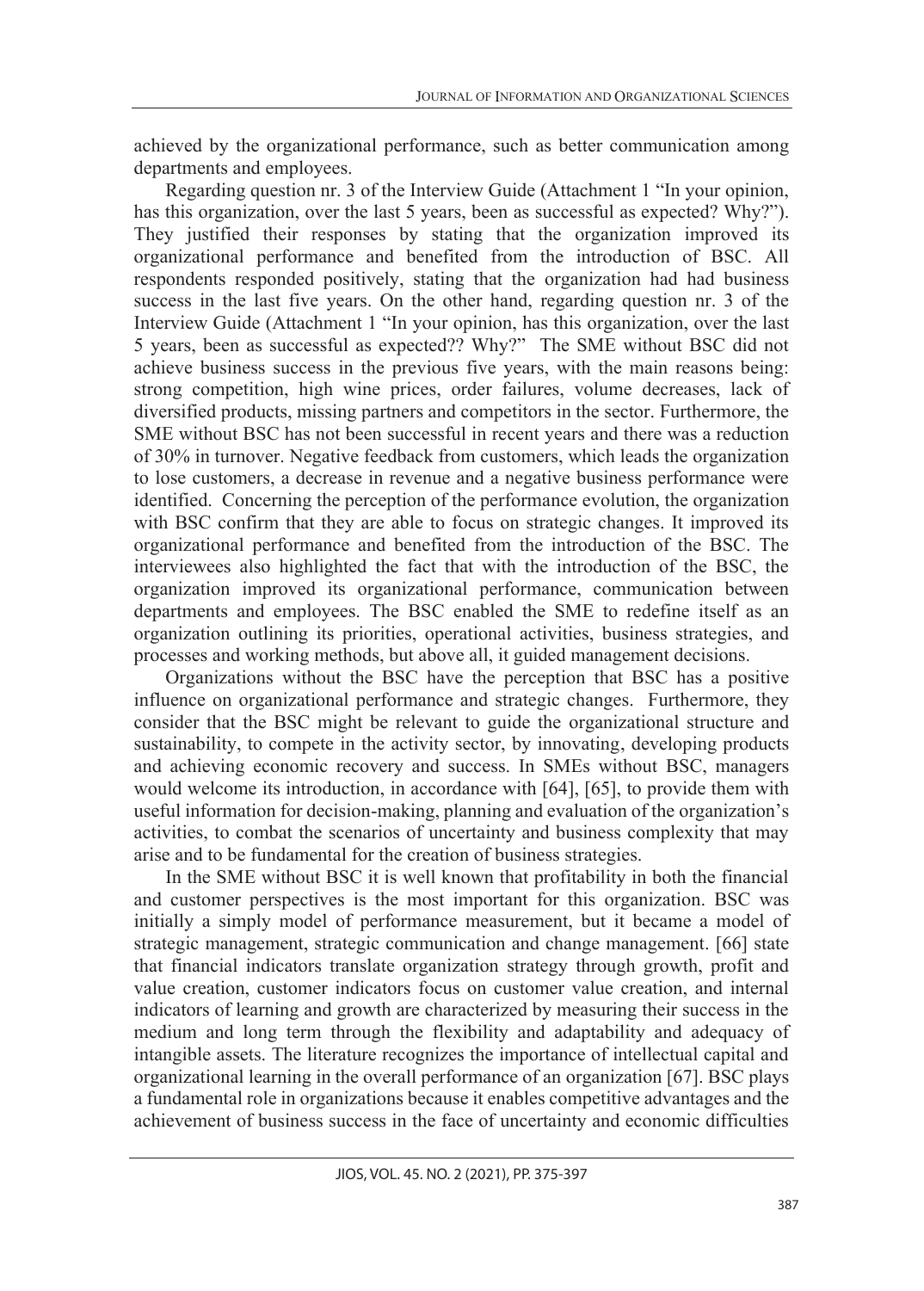achieved by the organizational performance, such as better communication among departments and employees.

Regarding question nr. 3 of the Interview Guide (Attachment 1 "In your opinion, has this organization, over the last 5 years, been as successful as expected? Why?"). They justified their responses by stating that the organization improved its organizational performance and benefited from the introduction of BSC. All respondents responded positively, stating that the organization had had business success in the last five years. On the other hand, regarding question nr. 3 of the Interview Guide (Attachment 1 "In your opinion, has this organization, over the last 5 years, been as successful as expected?? Why?" The SME without BSC did not achieve business success in the previous five years, with the main reasons being: strong competition, high wine prices, order failures, volume decreases, lack of diversified products, missing partners and competitors in the sector. Furthermore, the SME without BSC has not been successful in recent years and there was a reduction of 30% in turnover. Negative feedback from customers, which leads the organization to lose customers, a decrease in revenue and a negative business performance were identified. Concerning the perception of the performance evolution, the organization with BSC confirm that they are able to focus on strategic changes. It improved its organizational performance and benefited from the introduction of the BSC. The interviewees also highlighted the fact that with the introduction of the BSC, the organization improved its organizational performance, communication between departments and employees. The BSC enabled the SME to redefine itself as an organization outlining its priorities, operational activities, business strategies, and processes and working methods, but above all, it guided management decisions.

Organizations without the BSC have the perception that BSC has a positive influence on organizational performance and strategic changes. Furthermore, they consider that the BSC might be relevant to guide the organizational structure and sustainability, to compete in the activity sector, by innovating, developing products and achieving economic recovery and success. In SMEs without BSC, managers would welcome its introduction, in accordance with [64], [65], to provide them with useful information for decision-making, planning and evaluation of the organization's activities, to combat the scenarios of uncertainty and business complexity that may arise and to be fundamental for the creation of business strategies.

In the SME without BSC it is well known that profitability in both the financial and customer perspectives is the most important for this organization. BSC was initially a simply model of performance measurement, but it became a model of strategic management, strategic communication and change management. [66] state that financial indicators translate organization strategy through growth, profit and value creation, customer indicators focus on customer value creation, and internal indicators of learning and growth are characterized by measuring their success in the medium and long term through the flexibility and adaptability and adequacy of intangible assets. The literature recognizes the importance of intellectual capital and organizational learning in the overall performance of an organization [67]. BSC plays a fundamental role in organizations because it enables competitive advantages and the achievement of business success in the face of uncertainty and economic difficulties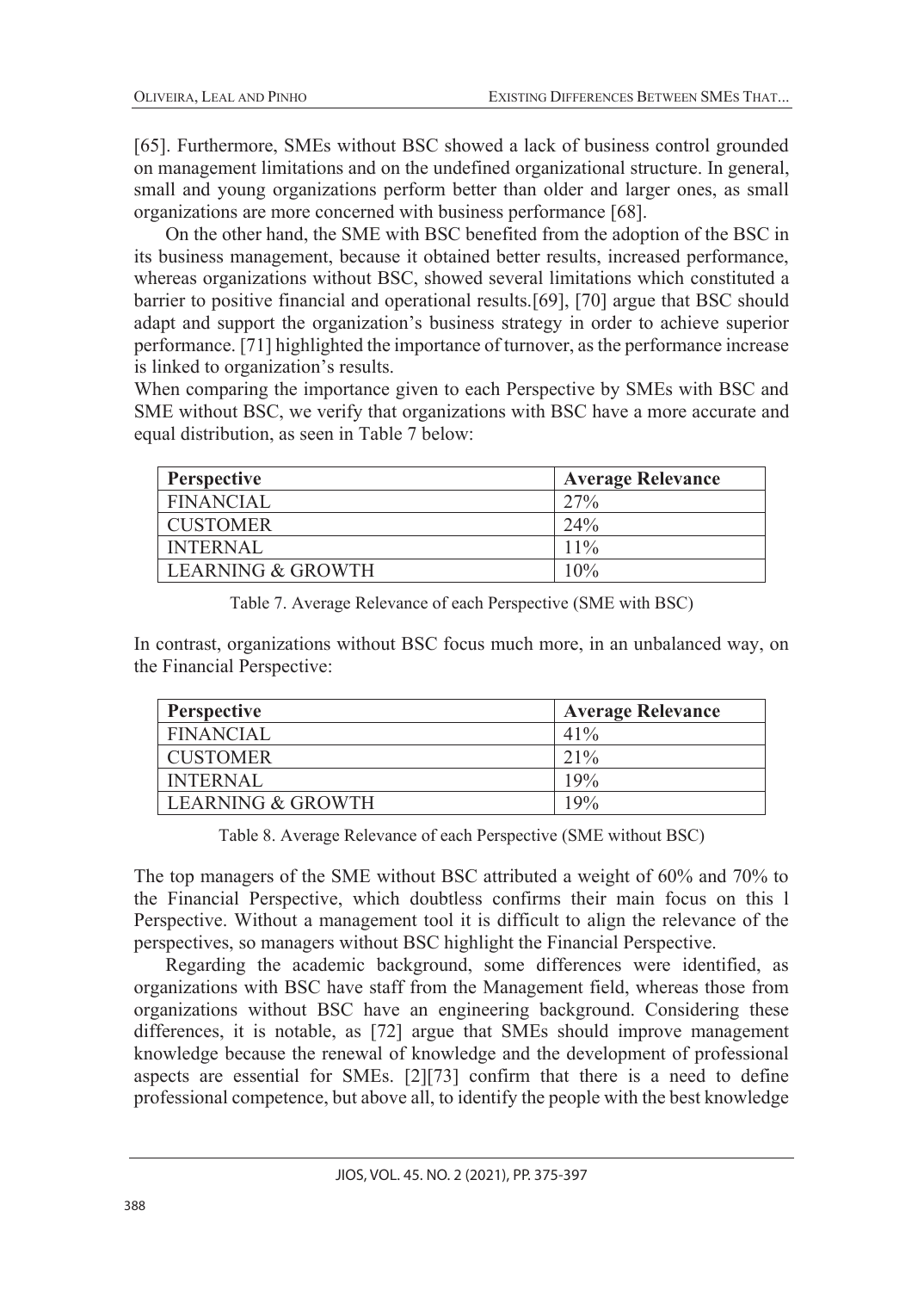[65]. Furthermore, SMEs without BSC showed a lack of business control grounded on management limitations and on the undefined organizational structure. In general, small and young organizations perform better than older and larger ones, as small organizations are more concerned with business performance [68].

On the other hand, the SME with BSC benefited from the adoption of the BSC in its business management, because it obtained better results, increased performance, whereas organizations without BSC, showed several limitations which constituted a barrier to positive financial and operational results.[69], [70] argue that BSC should adapt and support the organization's business strategy in order to achieve superior performance. [71] highlighted the importance of turnover, as the performance increase is linked to organization's results.

When comparing the importance given to each Perspective by SMEs with BSC and SME without BSC, we verify that organizations with BSC have a more accurate and equal distribution, as seen in Table 7 below:

| <b>Perspective</b> | <b>Average Relevance</b> |
|--------------------|--------------------------|
| <b>FINANCIAL</b>   | 27%                      |
| <b>CUSTOMER</b>    | 24%                      |
| <b>INTERNAL</b>    | $11\%$                   |
| LEARNING & GROWTH  | $10\%$                   |

Table 7. Average Relevance of each Perspective (SME with BSC)

In contrast, organizations without BSC focus much more, in an unbalanced way, on the Financial Perspective:

| <b>Perspective</b> | <b>Average Relevance</b> |
|--------------------|--------------------------|
| <b>FINANCIAL</b>   | $41\%$                   |
| <b>CUSTOMER</b>    | $21\%$                   |
| <b>INTERNAL</b>    | 19%                      |
| LEARNING & GROWTH  | 19%                      |

Table 8. Average Relevance of each Perspective (SME without BSC)

The top managers of the SME without BSC attributed a weight of 60% and 70% to the Financial Perspective, which doubtless confirms their main focus on this l Perspective. Without a management tool it is difficult to align the relevance of the perspectives, so managers without BSC highlight the Financial Perspective.

Regarding the academic background, some differences were identified, as organizations with BSC have staff from the Management field, whereas those from organizations without BSC have an engineering background. Considering these differences, it is notable, as [72] argue that SMEs should improve management knowledge because the renewal of knowledge and the development of professional aspects are essential for SMEs. [2][73] confirm that there is a need to define professional competence, but above all, to identify the people with the best knowledge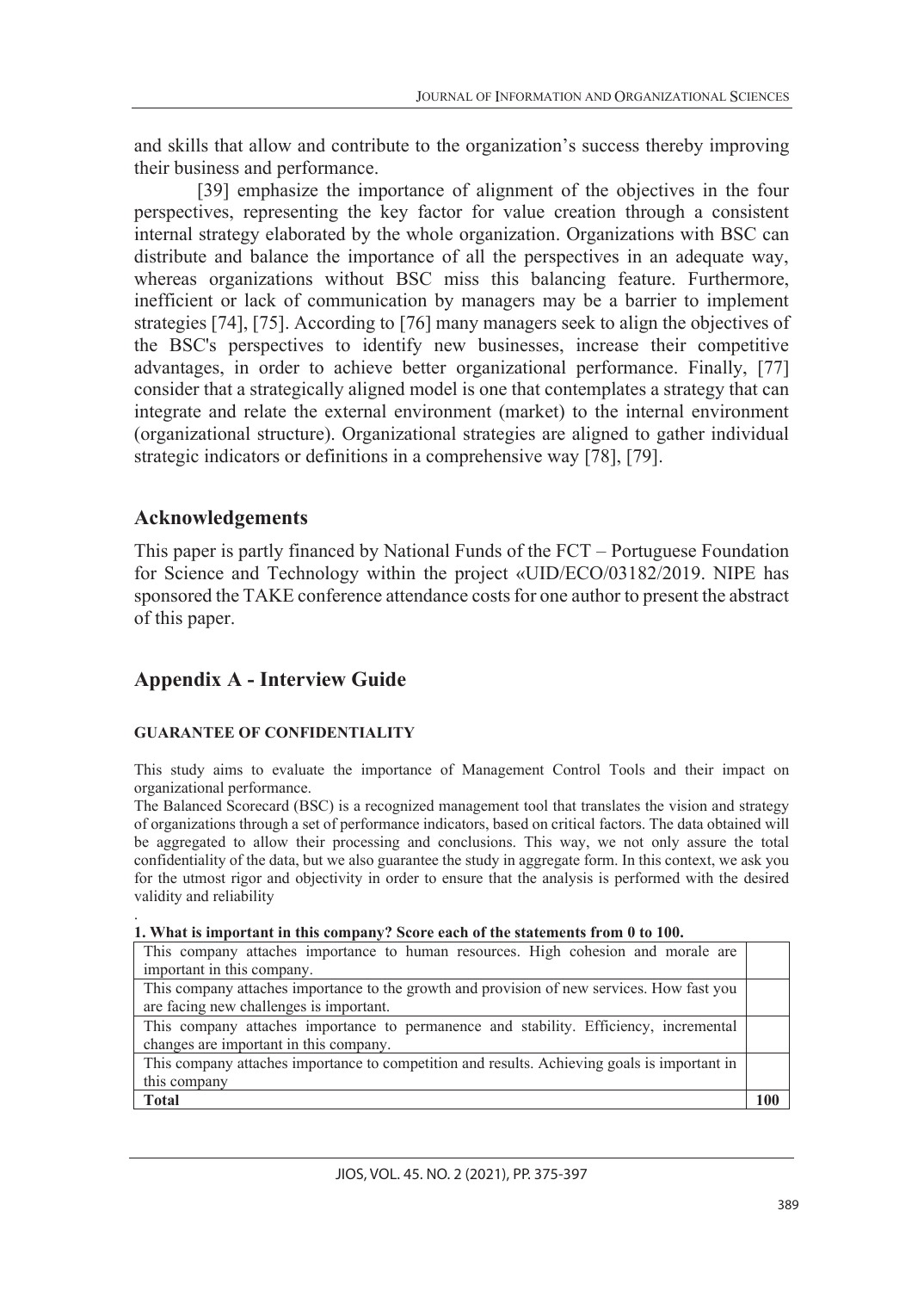and skills that allow and contribute to the organization's success thereby improving their business and performance.

[39] emphasize the importance of alignment of the objectives in the four perspectives, representing the key factor for value creation through a consistent internal strategy elaborated by the whole organization. Organizations with BSC can distribute and balance the importance of all the perspectives in an adequate way, whereas organizations without BSC miss this balancing feature. Furthermore, inefficient or lack of communication by managers may be a barrier to implement strategies [74], [75]. According to [76] many managers seek to align the objectives of the BSC's perspectives to identify new businesses, increase their competitive advantages, in order to achieve better organizational performance. Finally, [77] consider that a strategically aligned model is one that contemplates a strategy that can integrate and relate the external environment (market) to the internal environment (organizational structure). Organizational strategies are aligned to gather individual strategic indicators or definitions in a comprehensive way [78], [79].

# **Acknowledgements**

This paper is partly financed by National Funds of the FCT – Portuguese Foundation for Science and Technology within the project «UID/ECO/03182/2019. NIPE has sponsored the TAKE conference attendance costs for one author to present the abstract of this paper.

# **Appendix A - Interview Guide**

## **GUARANTEE OF CONFIDENTIALITY**

This study aims to evaluate the importance of Management Control Tools and their impact on organizational performance.

The Balanced Scorecard (BSC) is a recognized management tool that translates the vision and strategy of organizations through a set of performance indicators, based on critical factors. The data obtained will be aggregated to allow their processing and conclusions. This way, we not only assure the total confidentiality of the data, but we also guarantee the study in aggregate form. In this context, we ask you for the utmost rigor and objectivity in order to ensure that the analysis is performed with the desired validity and reliability

| 1. What is important in this company? Score each of the statements from 0 to 100. |
|-----------------------------------------------------------------------------------|

| This company attaches importance to human resources. High cohesion and morale are            |     |
|----------------------------------------------------------------------------------------------|-----|
| important in this company.                                                                   |     |
| This company attaches importance to the growth and provision of new services. How fast you   |     |
| are facing new challenges is important.                                                      |     |
| This company attaches importance to permanence and stability. Efficiency, incremental        |     |
| changes are important in this company.                                                       |     |
| This company attaches importance to competition and results. Achieving goals is important in |     |
| this company                                                                                 |     |
| <b>Total</b>                                                                                 | 100 |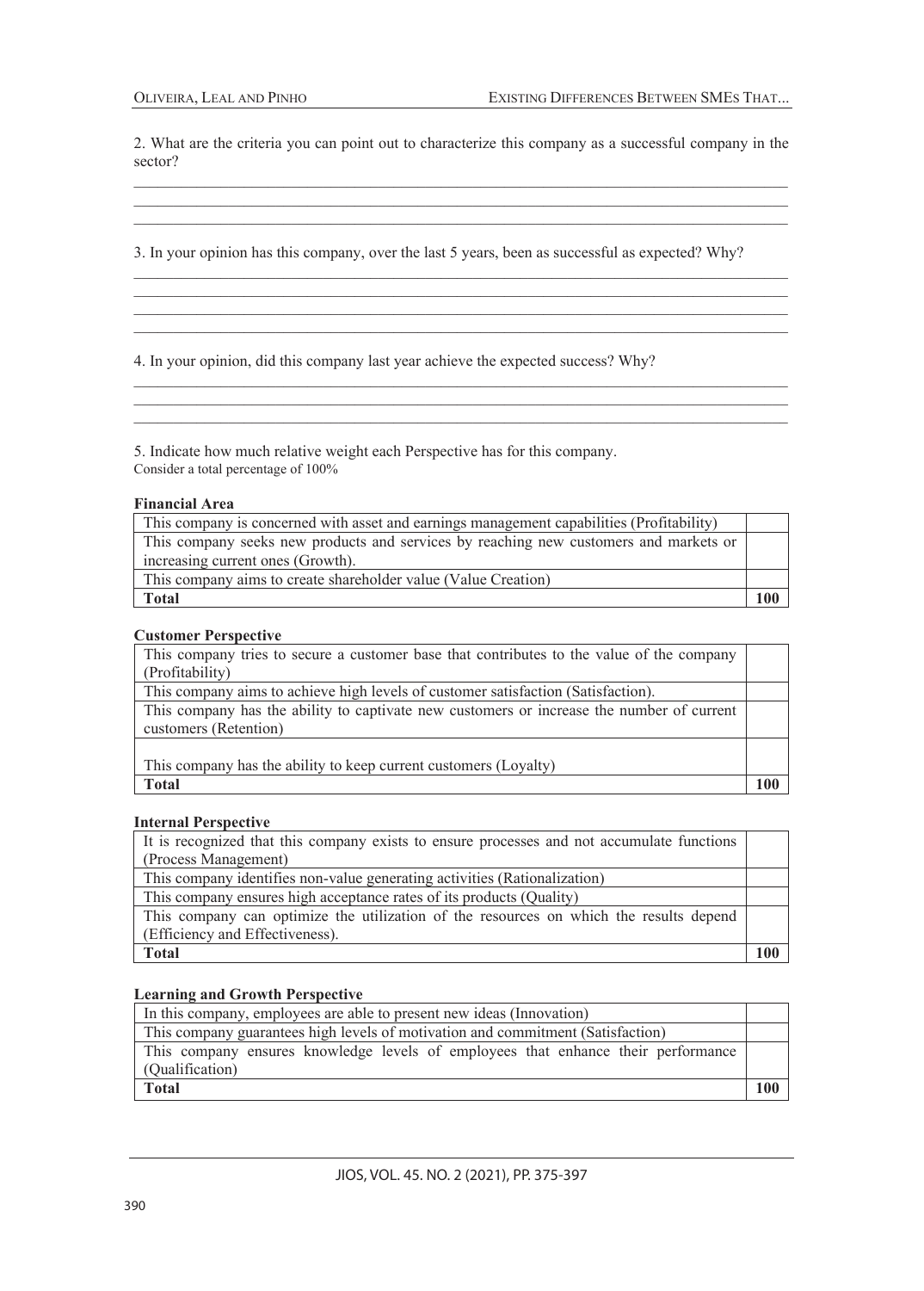2. What are the criteria you can point out to characterize this company as a successful company in the sector? \_\_\_\_\_\_\_\_\_\_\_\_\_\_\_\_\_\_\_\_\_\_\_\_\_\_\_\_\_\_\_\_\_\_\_\_\_\_\_\_\_\_\_\_\_\_\_\_\_\_\_\_\_\_\_\_\_\_\_\_\_\_\_\_\_\_\_\_\_\_\_\_\_\_\_\_\_\_\_\_\_\_\_

\_\_\_\_\_\_\_\_\_\_\_\_\_\_\_\_\_\_\_\_\_\_\_\_\_\_\_\_\_\_\_\_\_\_\_\_\_\_\_\_\_\_\_\_\_\_\_\_\_\_\_\_\_\_\_\_\_\_\_\_\_\_\_\_\_\_\_\_\_\_\_\_\_\_\_\_\_\_\_\_\_\_\_ \_\_\_\_\_\_\_\_\_\_\_\_\_\_\_\_\_\_\_\_\_\_\_\_\_\_\_\_\_\_\_\_\_\_\_\_\_\_\_\_\_\_\_\_\_\_\_\_\_\_\_\_\_\_\_\_\_\_\_\_\_\_\_\_\_\_\_\_\_\_\_\_\_\_\_\_\_\_\_\_\_\_\_

\_\_\_\_\_\_\_\_\_\_\_\_\_\_\_\_\_\_\_\_\_\_\_\_\_\_\_\_\_\_\_\_\_\_\_\_\_\_\_\_\_\_\_\_\_\_\_\_\_\_\_\_\_\_\_\_\_\_\_\_\_\_\_\_\_\_\_\_\_\_\_\_\_\_\_\_\_\_\_\_\_\_\_

\_\_\_\_\_\_\_\_\_\_\_\_\_\_\_\_\_\_\_\_\_\_\_\_\_\_\_\_\_\_\_\_\_\_\_\_\_\_\_\_\_\_\_\_\_\_\_\_\_\_\_\_\_\_\_\_\_\_\_\_\_\_\_\_\_\_\_\_\_\_\_\_\_\_\_\_\_\_\_\_\_\_\_ \_\_\_\_\_\_\_\_\_\_\_\_\_\_\_\_\_\_\_\_\_\_\_\_\_\_\_\_\_\_\_\_\_\_\_\_\_\_\_\_\_\_\_\_\_\_\_\_\_\_\_\_\_\_\_\_\_\_\_\_\_\_\_\_\_\_\_\_\_\_\_\_\_\_\_\_\_\_\_\_\_\_\_

\_\_\_\_\_\_\_\_\_\_\_\_\_\_\_\_\_\_\_\_\_\_\_\_\_\_\_\_\_\_\_\_\_\_\_\_\_\_\_\_\_\_\_\_\_\_\_\_\_\_\_\_\_\_\_\_\_\_\_\_\_\_\_\_\_\_\_\_\_\_\_\_\_\_\_\_\_\_\_\_\_\_\_ \_\_\_\_\_\_\_\_\_\_\_\_\_\_\_\_\_\_\_\_\_\_\_\_\_\_\_\_\_\_\_\_\_\_\_\_\_\_\_\_\_\_\_\_\_\_\_\_\_\_\_\_\_\_\_\_\_\_\_\_\_\_\_\_\_\_\_\_\_\_\_\_\_\_\_\_\_\_\_\_\_\_\_ \_\_\_\_\_\_\_\_\_\_\_\_\_\_\_\_\_\_\_\_\_\_\_\_\_\_\_\_\_\_\_\_\_\_\_\_\_\_\_\_\_\_\_\_\_\_\_\_\_\_\_\_\_\_\_\_\_\_\_\_\_\_\_\_\_\_\_\_\_\_\_\_\_\_\_\_\_\_\_\_\_\_\_

3. In your opinion has this company, over the last 5 years, been as successful as expected? Why?

4. In your opinion, did this company last year achieve the expected success? Why?

5. Indicate how much relative weight each Perspective has for this company. Consider a total percentage of 100%

#### **Financial Area**

| This company is concerned with asset and earnings management capabilities (Profitability) |     |
|-------------------------------------------------------------------------------------------|-----|
| This company seeks new products and services by reaching new customers and markets or     |     |
| increasing current ones (Growth).                                                         |     |
| This company aims to create shareholder value (Value Creation)                            |     |
| <b>Total</b>                                                                              | 100 |

#### **Customer Perspective**

| This company tries to secure a customer base that contributes to the value of the company |     |
|-------------------------------------------------------------------------------------------|-----|
| (Profitability)                                                                           |     |
| This company aims to achieve high levels of customer satisfaction (Satisfaction).         |     |
| This company has the ability to captivate new customers or increase the number of current |     |
| customers (Retention)                                                                     |     |
|                                                                                           |     |
| This company has the ability to keep current customers (Loyalty)                          |     |
| <b>Total</b>                                                                              | 10C |

### **Internal Perspective**

| It is recognized that this company exists to ensure processes and not accumulate functions |  |
|--------------------------------------------------------------------------------------------|--|
| (Process Management)                                                                       |  |
| This company identifies non-value generating activities (Rationalization)                  |  |
| This company ensures high acceptance rates of its products (Quality)                       |  |
| This company can optimize the utilization of the resources on which the results depend     |  |
| (Efficiency and Effectiveness).                                                            |  |
| <b>Total</b>                                                                               |  |

#### **Learning and Growth Perspective**

| In this company, employees are able to present new ideas (Innovation)             |     |
|-----------------------------------------------------------------------------------|-----|
| This company guarantees high levels of motivation and commitment (Satisfaction)   |     |
| This company ensures knowledge levels of employees that enhance their performance |     |
| (Oualification)                                                                   |     |
| <b>Total</b>                                                                      | 100 |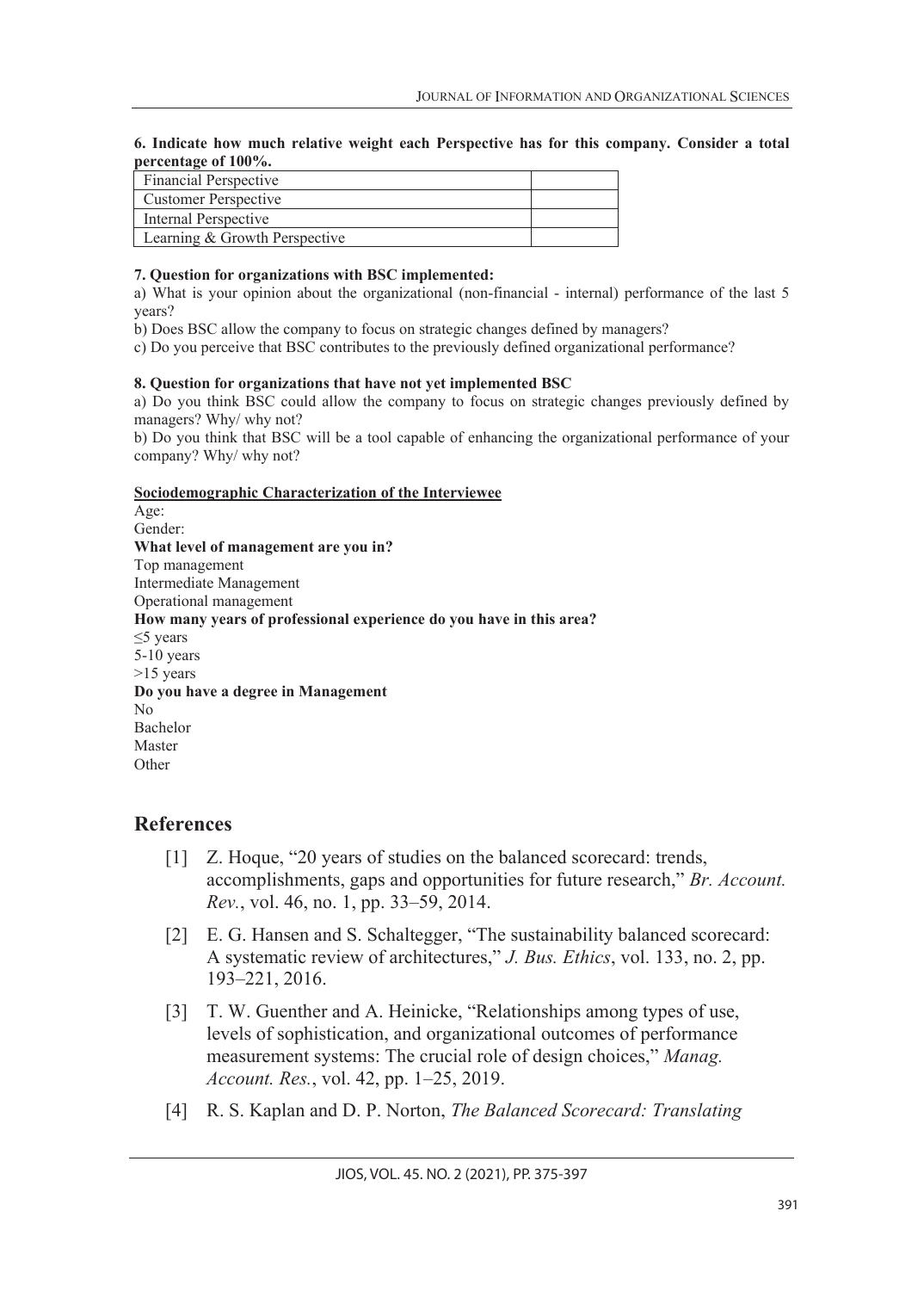#### **6. Indicate how much relative weight each Perspective has for this company. Consider a total percentage of 100%.**

| <b>Financial Perspective</b>  |  |
|-------------------------------|--|
| Customer Perspective          |  |
| Internal Perspective          |  |
| Learning & Growth Perspective |  |

### **7. Question for organizations with BSC implemented:**

a) What is your opinion about the organizational (non-financial - internal) performance of the last 5 years?

b) Does BSC allow the company to focus on strategic changes defined by managers?

c) Do you perceive that BSC contributes to the previously defined organizational performance?

### **8. Question for organizations that have not yet implemented BSC**

a) Do you think BSC could allow the company to focus on strategic changes previously defined by managers? Why/ why not?

b) Do you think that BSC will be a tool capable of enhancing the organizational performance of your company? Why/ why not?

#### **Sociodemographic Characterization of the Interviewee**

Age: Gender: **What level of management are you in?** Top management Intermediate Management Operational management **How many years of professional experience do you have in this area?** ≤5 years 5-10 years >15 years **Do you have a degree in Management** No Bachelor Master **Other** 

## **References**

- [1] Z. Hoque, "20 years of studies on the balanced scorecard: trends, accomplishments, gaps and opportunities for future research," *Br. Account. Rev.*, vol. 46, no. 1, pp. 33–59, 2014.
- [2] E. G. Hansen and S. Schaltegger, "The sustainability balanced scorecard: A systematic review of architectures," *J. Bus. Ethics*, vol. 133, no. 2, pp. 193–221, 2016.
- [3] T. W. Guenther and A. Heinicke, "Relationships among types of use, levels of sophistication, and organizational outcomes of performance measurement systems: The crucial role of design choices," *Manag. Account. Res.*, vol. 42, pp. 1–25, 2019.
- [4] R. S. Kaplan and D. P. Norton, *The Balanced Scorecard: Translating*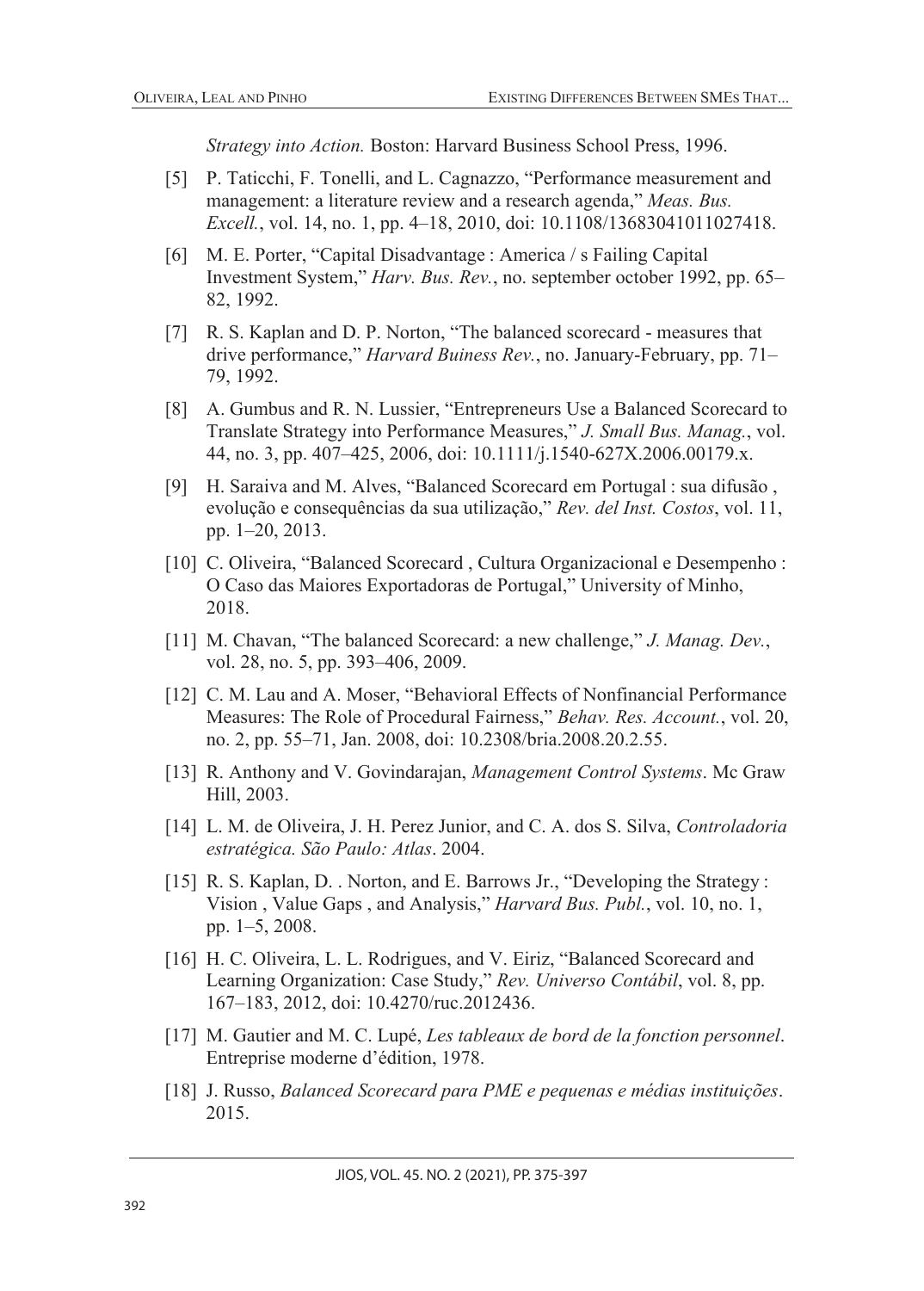*Strategy into Action.* Boston: Harvard Business School Press, 1996.

- [5] P. Taticchi, F. Tonelli, and L. Cagnazzo, "Performance measurement and management: a literature review and a research agenda," *Meas. Bus. Excell.*, vol. 14, no. 1, pp. 4–18, 2010, doi: 10.1108/13683041011027418.
- [6] M. E. Porter, "Capital Disadvantage : America / s Failing Capital Investment System," *Harv. Bus. Rev.*, no. september october 1992, pp. 65– 82, 1992.
- [7] R. S. Kaplan and D. P. Norton, "The balanced scorecard measures that drive performance," *Harvard Buiness Rev.*, no. January-February, pp. 71– 79, 1992.
- [8] A. Gumbus and R. N. Lussier, "Entrepreneurs Use a Balanced Scorecard to Translate Strategy into Performance Measures," *J. Small Bus. Manag.*, vol. 44, no. 3, pp. 407–425, 2006, doi: 10.1111/j.1540-627X.2006.00179.x.
- [9] H. Saraiva and M. Alves, "Balanced Scorecard em Portugal : sua difusão , evolução e consequências da sua utilização," *Rev. del Inst. Costos*, vol. 11, pp. 1–20, 2013.
- [10] C. Oliveira, "Balanced Scorecard , Cultura Organizacional e Desempenho : O Caso das Maiores Exportadoras de Portugal," University of Minho, 2018.
- [11] M. Chavan, "The balanced Scorecard: a new challenge," *J. Manag. Dev.*, vol. 28, no. 5, pp. 393–406, 2009.
- [12] C. M. Lau and A. Moser, "Behavioral Effects of Nonfinancial Performance Measures: The Role of Procedural Fairness," *Behav. Res. Account.*, vol. 20, no. 2, pp. 55–71, Jan. 2008, doi: 10.2308/bria.2008.20.2.55.
- [13] R. Anthony and V. Govindarajan, *Management Control Systems*. Mc Graw Hill, 2003.
- [14] L. M. de Oliveira, J. H. Perez Junior, and C. A. dos S. Silva, *Controladoria estratégica. São Paulo: Atlas*. 2004.
- [15] R. S. Kaplan, D. . Norton, and E. Barrows Jr., "Developing the Strategy : Vision , Value Gaps , and Analysis," *Harvard Bus. Publ.*, vol. 10, no. 1, pp. 1–5, 2008.
- [16] H. C. Oliveira, L. L. Rodrigues, and V. Eiriz, "Balanced Scorecard and Learning Organization: Case Study," *Rev. Universo Contábil*, vol. 8, pp. 167–183, 2012, doi: 10.4270/ruc.2012436.
- [17] M. Gautier and M. C. Lupé, *Les tableaux de bord de la fonction personnel*. Entreprise moderne d'édition, 1978.
- [18] J. Russo, *Balanced Scorecard para PME e pequenas e médias instituições*. 2015.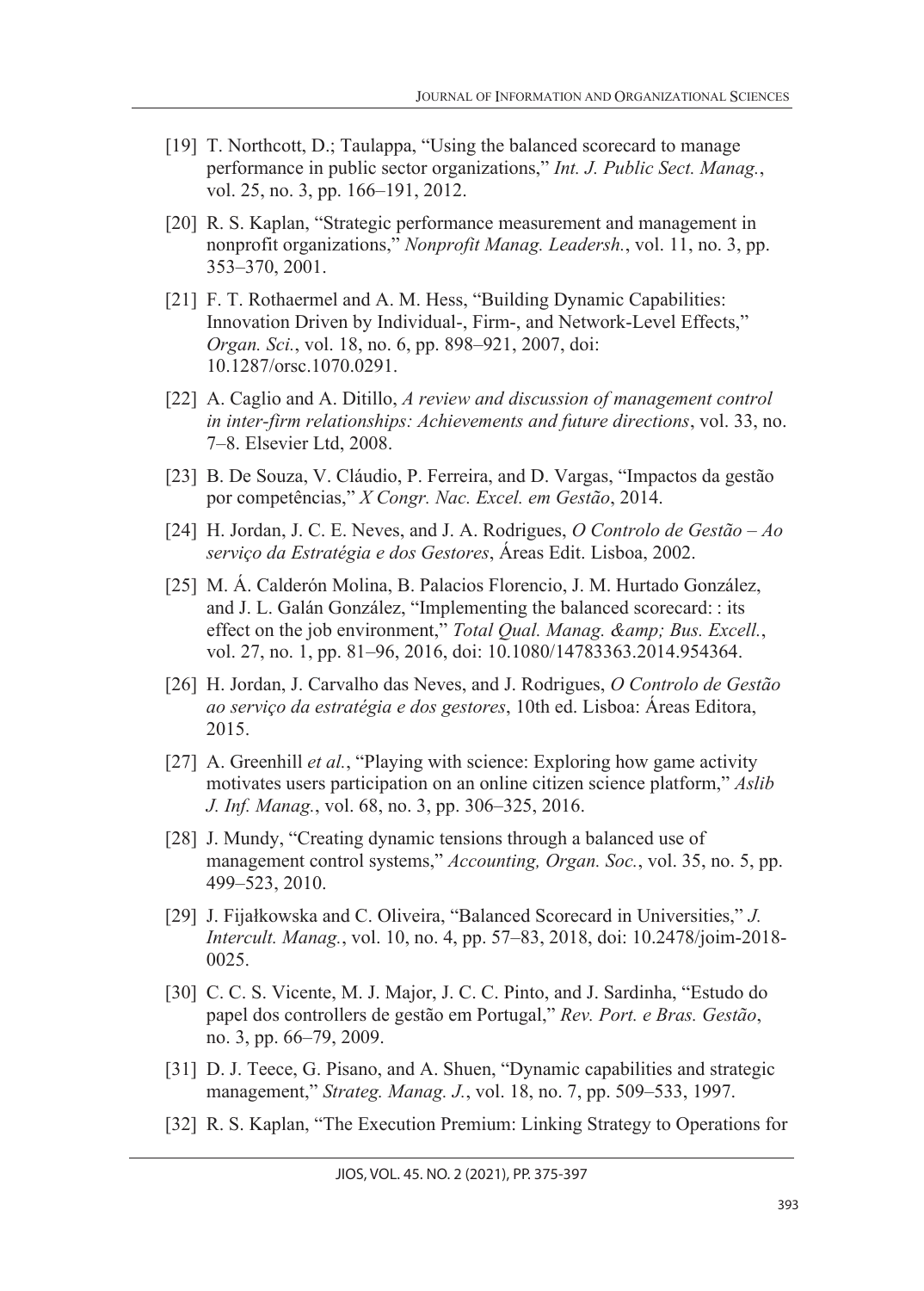- [19] T. Northcott, D.; Taulappa, "Using the balanced scorecard to manage performance in public sector organizations," *Int. J. Public Sect. Manag.*, vol. 25, no. 3, pp. 166–191, 2012.
- [20] R. S. Kaplan, "Strategic performance measurement and management in nonprofit organizations," *Nonprofit Manag. Leadersh.*, vol. 11, no. 3, pp. 353–370, 2001.
- [21] F. T. Rothaermel and A. M. Hess, "Building Dynamic Capabilities: Innovation Driven by Individual-, Firm-, and Network-Level Effects," *Organ. Sci.*, vol. 18, no. 6, pp. 898–921, 2007, doi: 10.1287/orsc.1070.0291.
- [22] A. Caglio and A. Ditillo, *A review and discussion of management control in inter-firm relationships: Achievements and future directions*, vol. 33, no. 7–8. Elsevier Ltd, 2008.
- [23] B. De Souza, V. Cláudio, P. Ferreira, and D. Vargas, "Impactos da gestão por competências," *X Congr. Nac. Excel. em Gestão*, 2014.
- [24] H. Jordan, J. C. E. Neves, and J. A. Rodrigues, *O Controlo de Gestão – Ao serviço da Estratégia e dos Gestores*, Áreas Edit. Lisboa, 2002.
- [25] M. Á. Calderón Molina, B. Palacios Florencio, J. M. Hurtado González, and J. L. Galán González, "Implementing the balanced scorecard: : its effect on the job environment," *Total Qual. Manag. & amp*; *Bus. Excell.*, vol. 27, no. 1, pp. 81–96, 2016, doi: 10.1080/14783363.2014.954364.
- [26] H. Jordan, J. Carvalho das Neves, and J. Rodrigues, *O Controlo de Gestão ao serviço da estratégia e dos gestores*, 10th ed. Lisboa: Áreas Editora, 2015.
- [27] A. Greenhill *et al.*, "Playing with science: Exploring how game activity motivates users participation on an online citizen science platform," *Aslib J. Inf. Manag.*, vol. 68, no. 3, pp. 306–325, 2016.
- [28] J. Mundy, "Creating dynamic tensions through a balanced use of management control systems," *Accounting, Organ. Soc.*, vol. 35, no. 5, pp. 499–523, 2010.
- [29] J. Fijałkowska and C. Oliveira, "Balanced Scorecard in Universities," *J. Intercult. Manag.*, vol. 10, no. 4, pp. 57–83, 2018, doi: 10.2478/joim-2018- 0025.
- [30] C. C. S. Vicente, M. J. Major, J. C. C. Pinto, and J. Sardinha, "Estudo do papel dos controllers de gestão em Portugal," *Rev. Port. e Bras. Gestão*, no. 3, pp. 66–79, 2009.
- [31] D. J. Teece, G. Pisano, and A. Shuen, "Dynamic capabilities and strategic management," *Strateg. Manag. J.*, vol. 18, no. 7, pp. 509–533, 1997.
- [32] R. S. Kaplan, "The Execution Premium: Linking Strategy to Operations for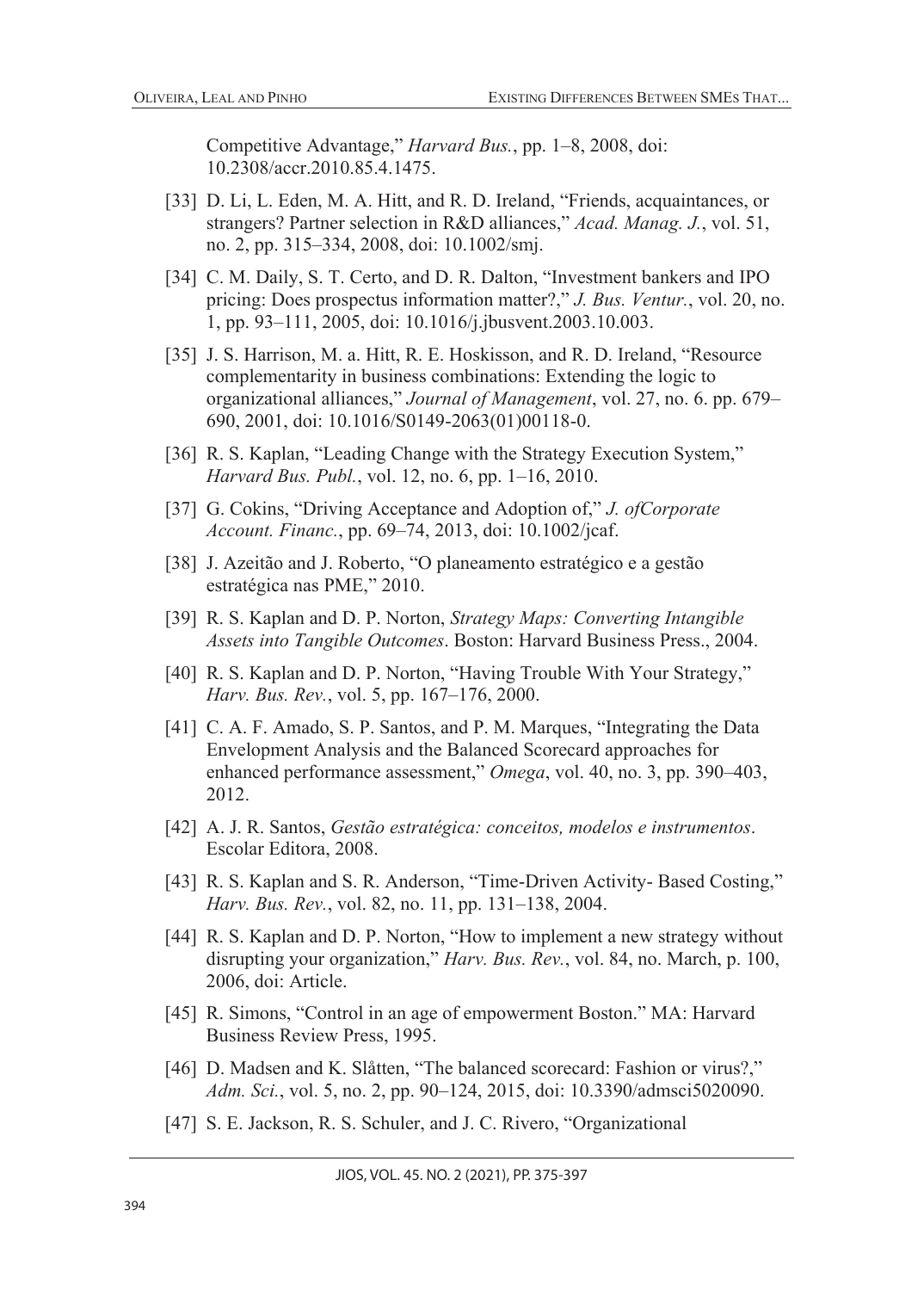Competitive Advantage," *Harvard Bus.*, pp. 1–8, 2008, doi: 10.2308/accr.2010.85.4.1475.

- [33] D. Li, L. Eden, M. A. Hitt, and R. D. Ireland, "Friends, acquaintances, or strangers? Partner selection in R&D alliances," *Acad. Manag. J.*, vol. 51, no. 2, pp. 315–334, 2008, doi: 10.1002/smj.
- [34] C. M. Daily, S. T. Certo, and D. R. Dalton, "Investment bankers and IPO pricing: Does prospectus information matter?," *J. Bus. Ventur.*, vol. 20, no. 1, pp. 93–111, 2005, doi: 10.1016/j.jbusvent.2003.10.003.
- [35] J. S. Harrison, M. a. Hitt, R. E. Hoskisson, and R. D. Ireland, "Resource complementarity in business combinations: Extending the logic to organizational alliances," *Journal of Management*, vol. 27, no. 6. pp. 679– 690, 2001, doi: 10.1016/S0149-2063(01)00118-0.
- [36] R. S. Kaplan, "Leading Change with the Strategy Execution System," *Harvard Bus. Publ.*, vol. 12, no. 6, pp. 1–16, 2010.
- [37] G. Cokins, "Driving Acceptance and Adoption of," *J. ofCorporate Account. Financ.*, pp. 69–74, 2013, doi: 10.1002/jcaf.
- [38] J. Azeitão and J. Roberto, "O planeamento estratégico e a gestão estratégica nas PME," 2010.
- [39] R. S. Kaplan and D. P. Norton, *Strategy Maps: Converting Intangible Assets into Tangible Outcomes*. Boston: Harvard Business Press., 2004.
- [40] R. S. Kaplan and D. P. Norton, "Having Trouble With Your Strategy," *Harv. Bus. Rev.*, vol. 5, pp. 167–176, 2000.
- [41] C. A. F. Amado, S. P. Santos, and P. M. Marques, "Integrating the Data Envelopment Analysis and the Balanced Scorecard approaches for enhanced performance assessment," *Omega*, vol. 40, no. 3, pp. 390–403, 2012.
- [42] A. J. R. Santos, *Gestão estratégica: conceitos, modelos e instrumentos*. Escolar Editora, 2008.
- [43] R. S. Kaplan and S. R. Anderson, "Time-Driven Activity- Based Costing," *Harv. Bus. Rev.*, vol. 82, no. 11, pp. 131–138, 2004.
- [44] R. S. Kaplan and D. P. Norton, "How to implement a new strategy without disrupting your organization," *Harv. Bus. Rev.*, vol. 84, no. March, p. 100, 2006, doi: Article.
- [45] R. Simons, "Control in an age of empowerment Boston." MA: Harvard Business Review Press, 1995.
- [46] D. Madsen and K. Slåtten, "The balanced scorecard: Fashion or virus?," *Adm. Sci.*, vol. 5, no. 2, pp. 90–124, 2015, doi: 10.3390/admsci5020090.
- [47] S. E. Jackson, R. S. Schuler, and J. C. Rivero, "Organizational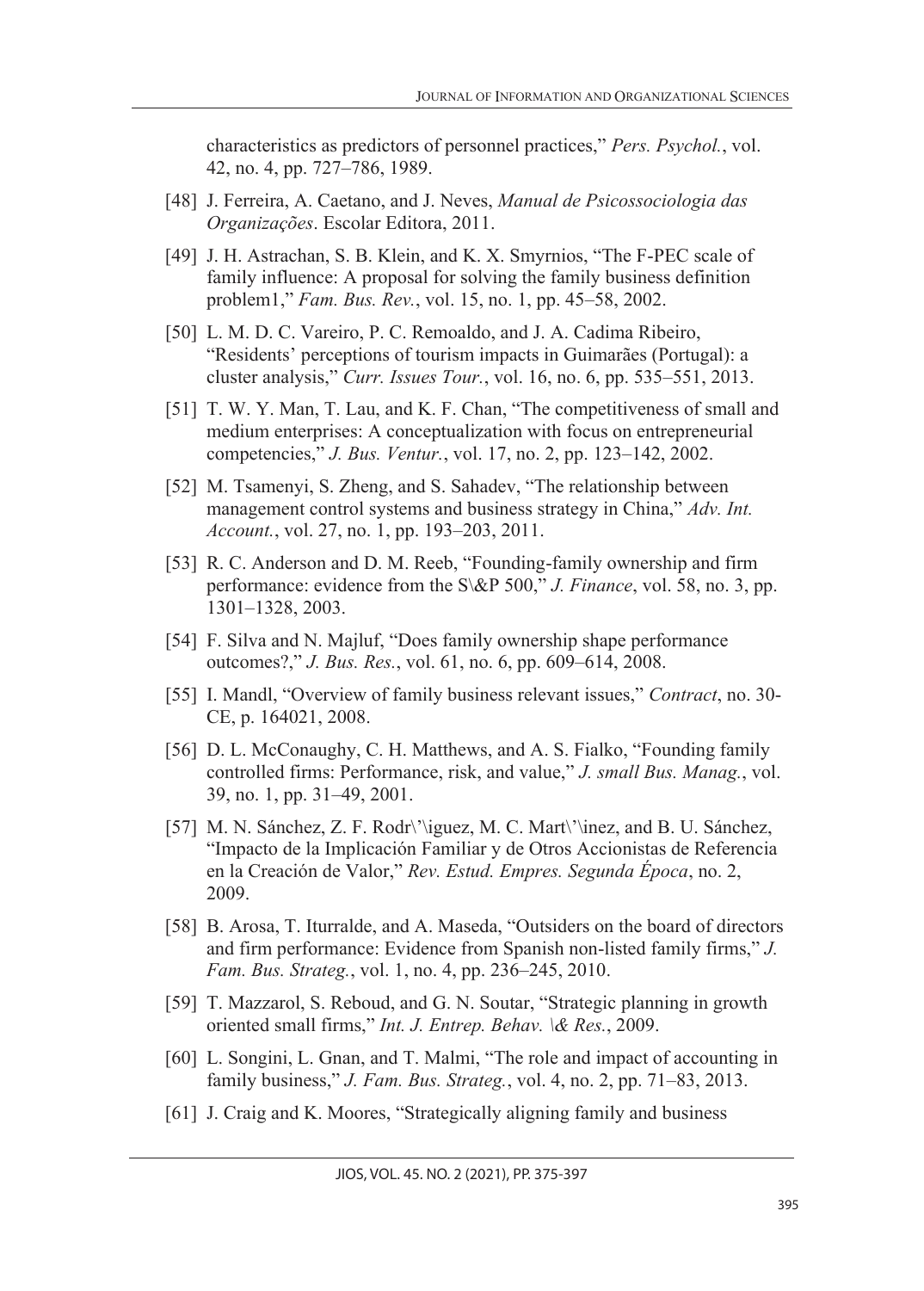characteristics as predictors of personnel practices," *Pers. Psychol.*, vol. 42, no. 4, pp. 727–786, 1989.

- [48] J. Ferreira, A. Caetano, and J. Neves, *Manual de Psicossociologia das Organizações*. Escolar Editora, 2011.
- [49] J. H. Astrachan, S. B. Klein, and K. X. Smyrnios, "The F-PEC scale of family influence: A proposal for solving the family business definition problem1," *Fam. Bus. Rev.*, vol. 15, no. 1, pp. 45–58, 2002.
- [50] L. M. D. C. Vareiro, P. C. Remoaldo, and J. A. Cadima Ribeiro, "Residents' perceptions of tourism impacts in Guimarães (Portugal): a cluster analysis," *Curr. Issues Tour.*, vol. 16, no. 6, pp. 535–551, 2013.
- [51] T. W. Y. Man, T. Lau, and K. F. Chan, "The competitiveness of small and medium enterprises: A conceptualization with focus on entrepreneurial competencies," *J. Bus. Ventur.*, vol. 17, no. 2, pp. 123–142, 2002.
- [52] M. Tsamenyi, S. Zheng, and S. Sahadev, "The relationship between management control systems and business strategy in China," *Adv. Int. Account.*, vol. 27, no. 1, pp. 193–203, 2011.
- [53] R. C. Anderson and D. M. Reeb, "Founding-family ownership and firm performance: evidence from the S\&P 500," *J. Finance*, vol. 58, no. 3, pp. 1301–1328, 2003.
- [54] F. Silva and N. Majluf, "Does family ownership shape performance outcomes?," *J. Bus. Res.*, vol. 61, no. 6, pp. 609–614, 2008.
- [55] I. Mandl, "Overview of family business relevant issues," *Contract*, no. 30- CE, p. 164021, 2008.
- [56] D. L. McConaughy, C. H. Matthews, and A. S. Fialko, "Founding family controlled firms: Performance, risk, and value," *J. small Bus. Manag.*, vol. 39, no. 1, pp. 31–49, 2001.
- [57] M. N. Sánchez, Z. F. Rodr\'\iguez, M. C. Mart\'\inez, and B. U. Sánchez, "Impacto de la Implicación Familiar y de Otros Accionistas de Referencia en la Creación de Valor," *Rev. Estud. Empres. Segunda Época*, no. 2, 2009.
- [58] B. Arosa, T. Iturralde, and A. Maseda, "Outsiders on the board of directors and firm performance: Evidence from Spanish non-listed family firms," *J. Fam. Bus. Strateg.*, vol. 1, no. 4, pp. 236–245, 2010.
- [59] T. Mazzarol, S. Reboud, and G. N. Soutar, "Strategic planning in growth oriented small firms," *Int. J. Entrep. Behav. \& Res.*, 2009.
- [60] L. Songini, L. Gnan, and T. Malmi, "The role and impact of accounting in family business," *J. Fam. Bus. Strateg.*, vol. 4, no. 2, pp. 71–83, 2013.
- [61] J. Craig and K. Moores, "Strategically aligning family and business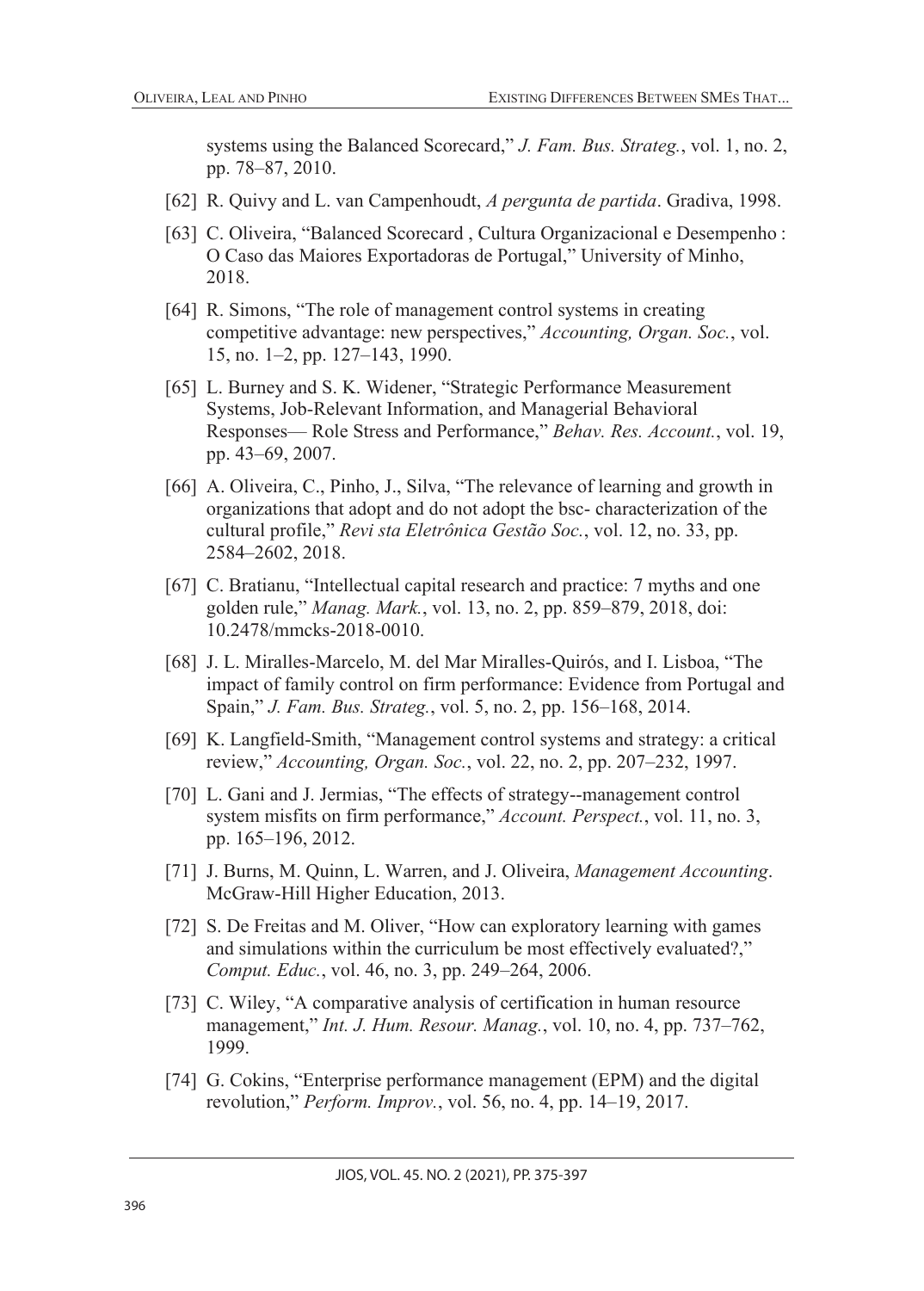systems using the Balanced Scorecard," *J. Fam. Bus. Strateg.*, vol. 1, no. 2, pp. 78–87, 2010.

- [62] R. Quivy and L. van Campenhoudt, *A pergunta de partida*. Gradiva, 1998.
- [63] C. Oliveira, "Balanced Scorecard , Cultura Organizacional e Desempenho : O Caso das Maiores Exportadoras de Portugal," University of Minho, 2018.
- [64] R. Simons, "The role of management control systems in creating competitive advantage: new perspectives," *Accounting, Organ. Soc.*, vol. 15, no. 1–2, pp. 127–143, 1990.
- [65] L. Burney and S. K. Widener, "Strategic Performance Measurement Systems, Job-Relevant Information, and Managerial Behavioral Responses— Role Stress and Performance," *Behav. Res. Account.*, vol. 19, pp. 43–69, 2007.
- [66] A. Oliveira, C., Pinho, J., Silva, "The relevance of learning and growth in organizations that adopt and do not adopt the bsc- characterization of the cultural profile," *Revi sta Eletrônica Gestão Soc.*, vol. 12, no. 33, pp. 2584–2602, 2018.
- [67] C. Bratianu, "Intellectual capital research and practice: 7 myths and one golden rule," *Manag. Mark.*, vol. 13, no. 2, pp. 859–879, 2018, doi: 10.2478/mmcks-2018-0010.
- [68] J. L. Miralles-Marcelo, M. del Mar Miralles-Quirós, and I. Lisboa, "The impact of family control on firm performance: Evidence from Portugal and Spain," *J. Fam. Bus. Strateg.*, vol. 5, no. 2, pp. 156–168, 2014.
- [69] K. Langfield-Smith, "Management control systems and strategy: a critical review," *Accounting, Organ. Soc.*, vol. 22, no. 2, pp. 207–232, 1997.
- [70] L. Gani and J. Jermias, "The effects of strategy--management control system misfits on firm performance," *Account. Perspect.*, vol. 11, no. 3, pp. 165–196, 2012.
- [71] J. Burns, M. Quinn, L. Warren, and J. Oliveira, *Management Accounting*. McGraw-Hill Higher Education, 2013.
- [72] S. De Freitas and M. Oliver, "How can exploratory learning with games and simulations within the curriculum be most effectively evaluated?," *Comput. Educ.*, vol. 46, no. 3, pp. 249–264, 2006.
- [73] C. Wiley, "A comparative analysis of certification in human resource management," *Int. J. Hum. Resour. Manag.*, vol. 10, no. 4, pp. 737–762, 1999.
- [74] G. Cokins, "Enterprise performance management (EPM) and the digital revolution," *Perform. Improv.*, vol. 56, no. 4, pp. 14–19, 2017.